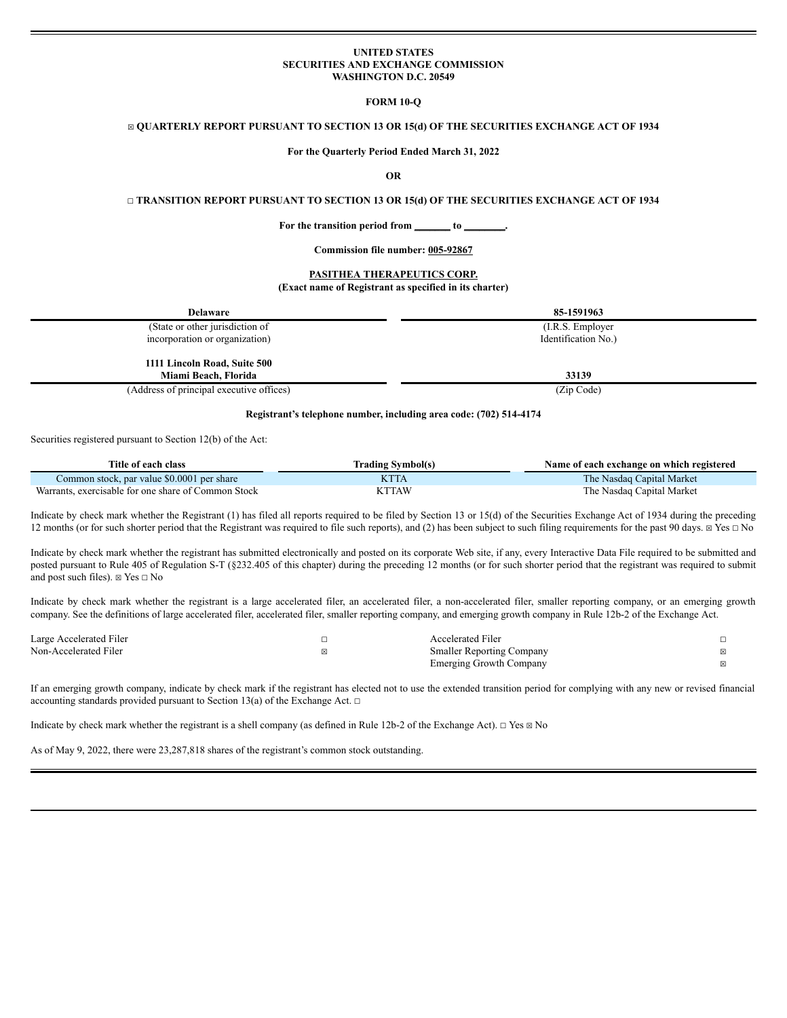### **UNITED STATES SECURITIES AND EXCHANGE COMMISSION WASHINGTON D.C. 20549**

### **FORM 10-Q**

## ☒ **QUARTERLY REPORT PURSUANT TO SECTION 13 OR 15(d) OF THE SECURITIES EXCHANGE ACT OF 1934**

**For the Quarterly Period Ended March 31, 2022**

#### **OR**

## ☐ **TRANSITION REPORT PURSUANT TO SECTION 13 OR 15(d) OF THE SECURITIES EXCHANGE ACT OF 1934**

**For the transition period from \_\_\_\_\_\_\_ to \_\_\_\_\_\_\_\_.**

**Commission file number: 005-92867**

#### **PASITHEA THERAPEUTICS CORP.**

**(Exact name of Registrant as specified in its charter)**

| <b>Delaware</b>                                      | 85-1591963          |
|------------------------------------------------------|---------------------|
| (State or other jurisdiction of                      | (I.R.S. Employer)   |
| incorporation or organization)                       | Identification No.) |
| 1111 Lincoln Road, Suite 500<br>Miami Beach, Florida | 33139               |
| (Address of principal executive offices)             | (Zip Code)          |

**Registrant's telephone number, including area code: (702) 514-4174**

Securities registered pursuant to Section 12(b) of the Act:

| Title of each class                                 | [rading Svmbol(s) | Name of each exchange on which registered |
|-----------------------------------------------------|-------------------|-------------------------------------------|
| Common stock, par value \$0.0001 per share          | <b>KTTA</b>       | The Nasdaq Capital Market                 |
| Warrants, exercisable for one share of Common Stock | <b>KTTAW</b>      | The Nasdaq Capital Market                 |

Indicate by check mark whether the Registrant (1) has filed all reports required to be filed by Section 13 or 15(d) of the Securities Exchange Act of 1934 during the preceding 12 months (or for such shorter period that the Registrant was required to file such reports), and (2) has been subject to such filing requirements for the past 90 days. ⊠ Yes □ No

Indicate by check mark whether the registrant has submitted electronically and posted on its corporate Web site, if any, every Interactive Data File required to be submitted and posted pursuant to Rule 405 of Regulation S-T (§232.405 of this chapter) during the preceding 12 months (or for such shorter period that the registrant was required to submit and post such files).  $\boxtimes$  Yes  $\Box$  No

Indicate by check mark whether the registrant is a large accelerated filer, an accelerated filer, a non-accelerated filer, smaller reporting company, or an emerging growth company. See the definitions of large accelerated filer, accelerated filer, smaller reporting company, and emerging growth company in Rule 12b-2 of the Exchange Act.

| Large Accelerated Filer | Accelerated Filer                |          |
|-------------------------|----------------------------------|----------|
| Non-Accelerated Filer   | <b>Smaller Reporting Company</b> | ⊠        |
|                         | Emerging Growth Company          | <b>X</b> |

If an emerging growth company, indicate by check mark if the registrant has elected not to use the extended transition period for complying with any new or revised financial accounting standards provided pursuant to Section 13(a) of the Exchange Act.  $□$ 

Indicate by check mark whether the registrant is a shell company (as defined in Rule 12b-2 of the Exchange Act).  $\Box$  Yes  $\Box$  No

As of May 9, 2022, there were 23,287,818 shares of the registrant's common stock outstanding.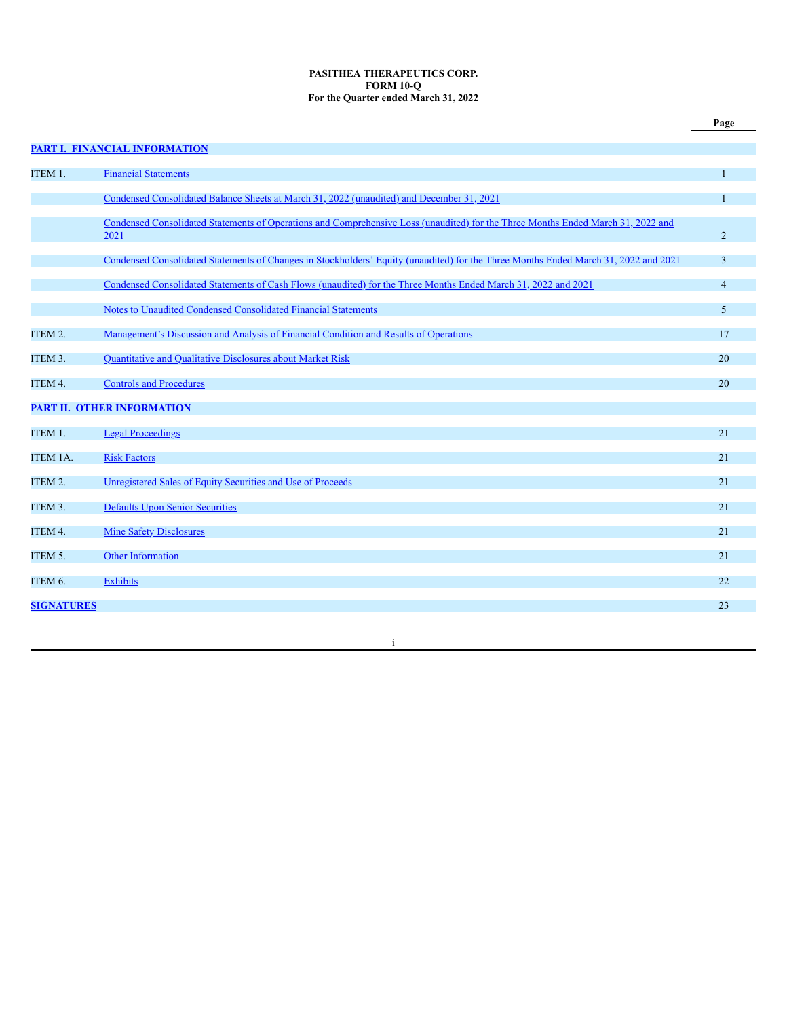## **PASITHEA THERAPEUTICS CORP. FORM 10-Q For the Quarter ended March 31, 2022**

|                   |                                                                                                                                          | Page           |
|-------------------|------------------------------------------------------------------------------------------------------------------------------------------|----------------|
|                   | PART I. FINANCIAL INFORMATION                                                                                                            |                |
| ITEM 1.           | <b>Financial Statements</b>                                                                                                              | $\mathbf{1}$   |
|                   | Condensed Consolidated Balance Sheets at March 31, 2022 (unaudited) and December 31, 2021                                                | $\mathbf{1}$   |
|                   | Condensed Consolidated Statements of Operations and Comprehensive Loss (unaudited) for the Three Months Ended March 31, 2022 and<br>2021 | $\overline{2}$ |
|                   | Condensed Consolidated Statements of Changes in Stockholders' Equity (unaudited) for the Three Months Ended March 31, 2022 and 2021      | 3              |
|                   | Condensed Consolidated Statements of Cash Flows (unaudited) for the Three Months Ended March 31, 2022 and 2021                           | $\overline{4}$ |
|                   | <b>Notes to Unaudited Condensed Consolidated Financial Statements</b>                                                                    | 5              |
| ITEM 2.           | Management's Discussion and Analysis of Financial Condition and Results of Operations                                                    | 17             |
| ITEM 3.           | Quantitative and Qualitative Disclosures about Market Risk                                                                               | 20             |
| ITEM 4.           | <b>Controls and Procedures</b>                                                                                                           | 20             |
|                   | PART II. OTHER INFORMATION                                                                                                               |                |
| ITEM 1.           | <b>Legal Proceedings</b>                                                                                                                 | 21             |
| ITEM 1A.          | <b>Risk Factors</b>                                                                                                                      | 21             |
| ITEM 2.           | Unregistered Sales of Equity Securities and Use of Proceeds                                                                              | 21             |
| ITEM 3.           | <b>Defaults Upon Senior Securities</b>                                                                                                   | 21             |
| ITEM 4.           | <b>Mine Safety Disclosures</b>                                                                                                           | 21             |
| ITEM 5.           | Other Information                                                                                                                        | 21             |
| ITEM 6.           | <b>Exhibits</b>                                                                                                                          | 22             |
| <b>SIGNATURES</b> |                                                                                                                                          | 23             |
|                   |                                                                                                                                          |                |

i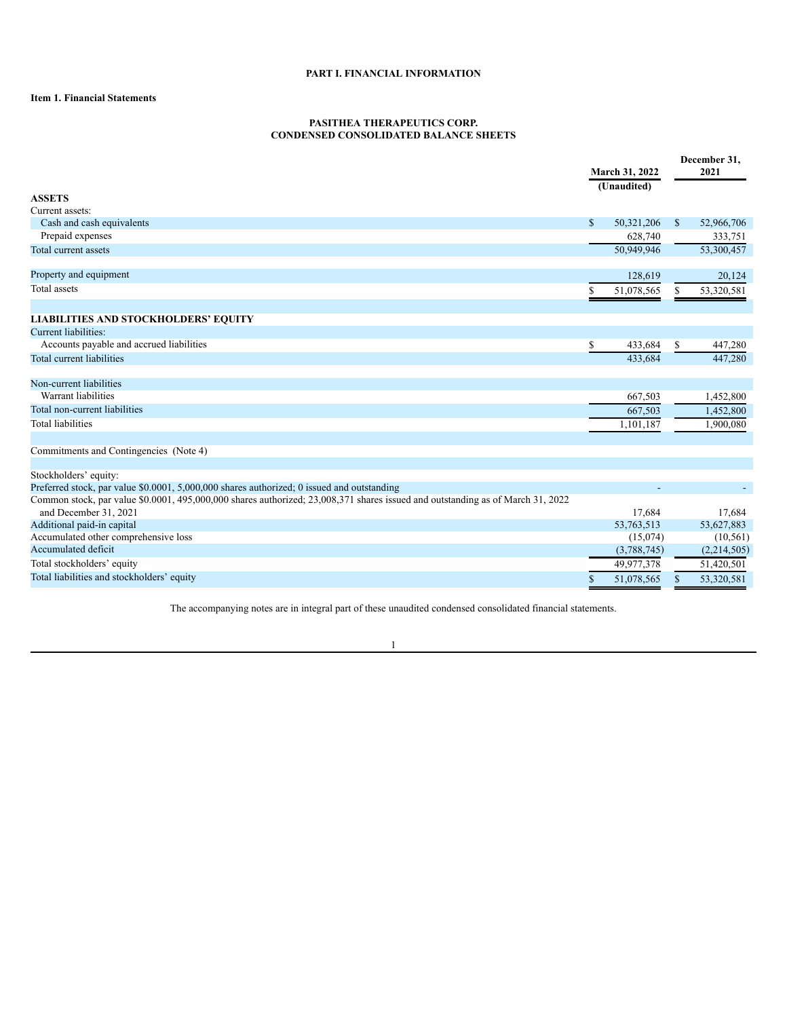# **PART I. FINANCIAL INFORMATION**

## <span id="page-2-2"></span><span id="page-2-1"></span><span id="page-2-0"></span>**Item 1. Financial Statements**

## **PASITHEA THERAPEUTICS CORP. CONDENSED CONSOLIDATED BALANCE SHEETS**

|                                                                                                                                                         |    | March 31, 2022 |               | December 31,<br>2021 |
|---------------------------------------------------------------------------------------------------------------------------------------------------------|----|----------------|---------------|----------------------|
|                                                                                                                                                         |    | (Unaudited)    |               |                      |
| <b>ASSETS</b>                                                                                                                                           |    |                |               |                      |
| Current assets:                                                                                                                                         |    |                |               |                      |
| Cash and cash equivalents                                                                                                                               | \$ | 50,321,206     | <sup>\$</sup> | 52,966,706           |
| Prepaid expenses                                                                                                                                        |    | 628,740        |               | 333,751              |
| Total current assets                                                                                                                                    |    | 50,949,946     |               | 53,300,457           |
| Property and equipment                                                                                                                                  |    | 128,619        |               | 20,124               |
| Total assets                                                                                                                                            | \$ | 51,078,565     | \$            | 53,320,581           |
|                                                                                                                                                         |    |                |               |                      |
| <b>LIABILITIES AND STOCKHOLDERS' EQUITY</b>                                                                                                             |    |                |               |                      |
| Current liabilities:                                                                                                                                    |    |                |               |                      |
| Accounts payable and accrued liabilities                                                                                                                | \$ | 433,684        | <sup>\$</sup> | 447,280              |
| Total current liabilities                                                                                                                               |    | 433,684        |               | 447,280              |
| Non-current liabilities                                                                                                                                 |    |                |               |                      |
| Warrant liabilities                                                                                                                                     |    | 667,503        |               | 1,452,800            |
| Total non-current liabilities                                                                                                                           |    | 667,503        |               | 1,452,800            |
| Total liabilities                                                                                                                                       |    | 1,101,187      |               | 1,900,080            |
| Commitments and Contingencies (Note 4)                                                                                                                  |    |                |               |                      |
|                                                                                                                                                         |    |                |               |                      |
| Stockholders' equity:                                                                                                                                   |    |                |               |                      |
| Preferred stock, par value \$0.0001, 5,000,000 shares authorized; 0 issued and outstanding                                                              |    |                |               |                      |
| Common stock, par value \$0.0001, 495,000,000 shares authorized; 23,008,371 shares issued and outstanding as of March 31, 2022<br>and December 31, 2021 |    | 17,684         |               | 17,684               |
| Additional paid-in capital                                                                                                                              |    | 53,763,513     |               | 53,627,883           |
| Accumulated other comprehensive loss                                                                                                                    |    | (15,074)       |               | (10, 561)            |
| Accumulated deficit                                                                                                                                     |    | (3,788,745)    |               | (2,214,505)          |
| Total stockholders' equity                                                                                                                              |    | 49,977,378     |               | 51,420,501           |
| Total liabilities and stockholders' equity                                                                                                              |    |                |               |                      |
|                                                                                                                                                         |    | 51,078,565     |               | 53,320,581           |

The accompanying notes are in integral part of these unaudited condensed consolidated financial statements.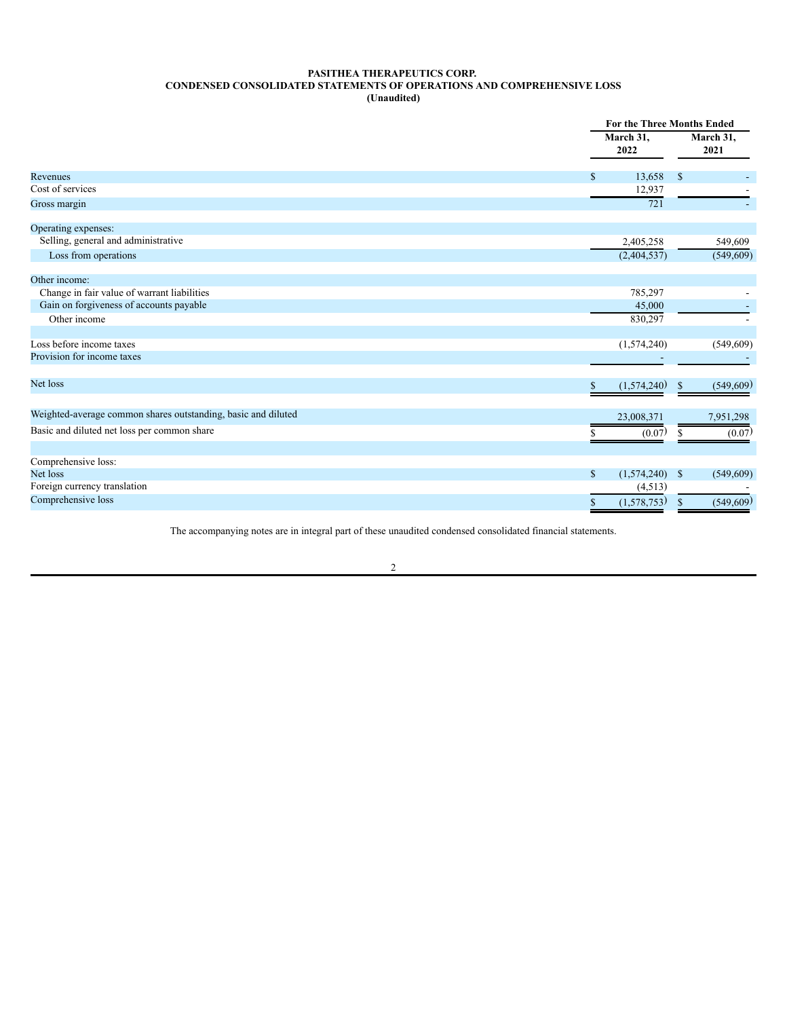### **PASITHEA THERAPEUTICS CORP. CONDENSED CONSOLIDATED STATEMENTS OF OPERATIONS AND COMPREHENSIVE LOSS (Unaudited)**

<span id="page-3-0"></span>

|                                                               | <b>For the Three Months Ended</b> |                   |
|---------------------------------------------------------------|-----------------------------------|-------------------|
|                                                               | March 31,<br>2022                 | March 31,<br>2021 |
| Revenues                                                      | \$<br>13,658                      | $\mathbb{S}$      |
| Cost of services                                              | 12,937                            |                   |
| Gross margin                                                  | 721                               |                   |
| Operating expenses:                                           |                                   |                   |
| Selling, general and administrative                           | 2,405,258                         | 549,609           |
| Loss from operations                                          | (2,404,537)                       | (549, 609)        |
| Other income:                                                 |                                   |                   |
| Change in fair value of warrant liabilities                   | 785,297                           |                   |
| Gain on forgiveness of accounts payable                       | 45,000                            |                   |
| Other income                                                  | 830,297                           |                   |
| Loss before income taxes                                      | (1,574,240)                       | (549,609)         |
| Provision for income taxes                                    |                                   |                   |
| Net loss                                                      | (1,574,240)<br>\$                 | (549,609)<br>\$   |
|                                                               |                                   |                   |
| Weighted-average common shares outstanding, basic and diluted | 23,008,371                        | 7,951,298         |
| Basic and diluted net loss per common share                   | (0.07)                            | (0.07)<br>S       |
| Comprehensive loss:                                           |                                   |                   |
| Net loss                                                      | $\mathbb{S}$<br>$(1,574,240)$ \$  | (549,609)         |
| Foreign currency translation                                  | (4, 513)                          |                   |
| Comprehensive loss                                            | (1,578,753)<br>\$                 | (549,609)<br>\$   |

The accompanying notes are in integral part of these unaudited condensed consolidated financial statements.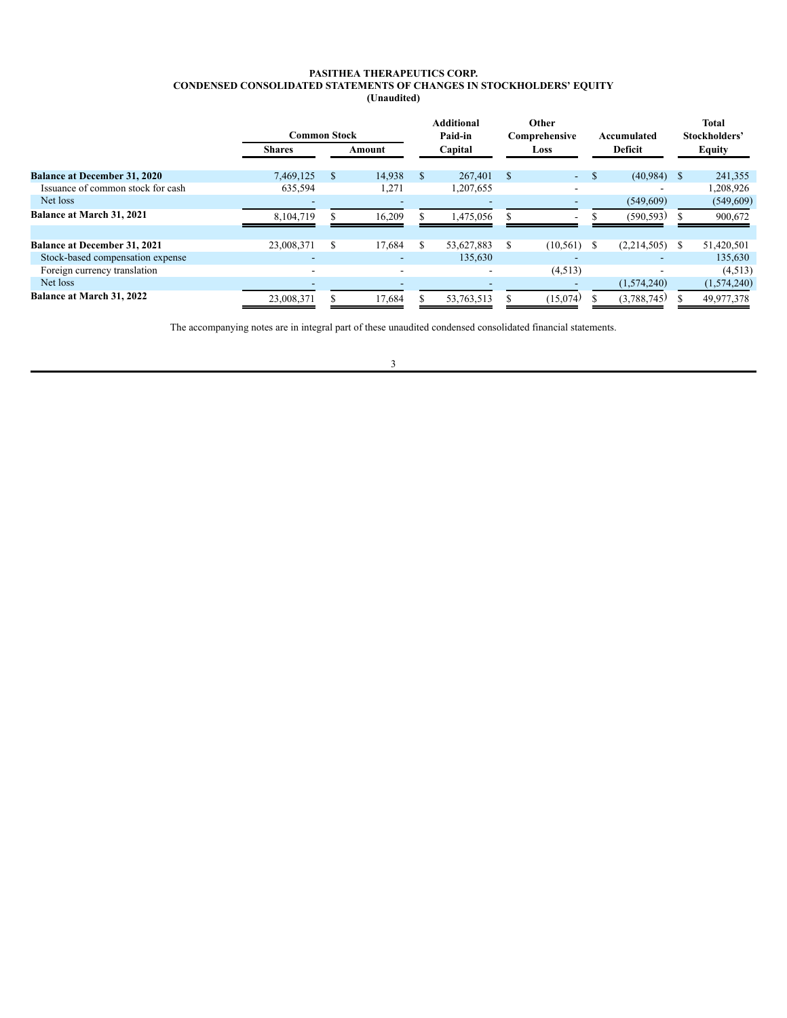### **PASITHEA THERAPEUTICS CORP. CONDENSED CONSOLIDATED STATEMENTS OF CHANGES IN STOCKHOLDERS' EQUITY (Unaudited)**

<span id="page-4-0"></span>

|                                     | <b>Common Stock</b>      |                          |          | <b>Additional</b><br>Paid-in |   | Other<br>Comprehensive |               | Accumulated |   | Total<br>Stockholders' |
|-------------------------------------|--------------------------|--------------------------|----------|------------------------------|---|------------------------|---------------|-------------|---|------------------------|
|                                     | <b>Shares</b>            | Amount                   |          | Capital                      |   | Loss                   |               | Deficit     |   | <b>Equity</b>          |
| <b>Balance at December 31, 2020</b> | 7,469,125                | \$<br>14,938             | <b>S</b> | 267.401                      | S | $\sim 100$             | <sup>\$</sup> | (40, 984)   | S | 241,355                |
| Issuance of common stock for cash   | 635,594                  | 1,271                    |          | 1,207,655                    |   | $\sim$                 |               |             |   | 1,208,926              |
| Net loss                            |                          |                          |          |                              |   |                        |               | (549,609)   |   | (549, 609)             |
| Balance at March 31, 2021           | 8,104,719                | 16,209                   |          | 1,475,056                    |   | ۰.                     |               | (590,593)   |   | 900,672                |
|                                     |                          |                          |          |                              |   |                        |               |             |   |                        |
| <b>Balance at December 31, 2021</b> | 23,008,371               | \$<br>17,684             |          | 53,627,883                   | S | (10, 561)              | <b>S</b>      | (2,214,505) | S | 51,420,501             |
| Stock-based compensation expense    |                          | $\sim$                   |          | 135,630                      |   | $\sim$                 |               |             |   | 135,630                |
| Foreign currency translation        | $\overline{\phantom{a}}$ | $\overline{\phantom{a}}$ |          |                              |   | (4,513)                |               | -           |   | (4,513)                |
| Net loss                            |                          |                          |          |                              |   |                        |               | (1,574,240) |   | (1,574,240)            |
| <b>Balance at March 31, 2022</b>    | 23,008,371               | 17,684                   |          | 53,763,513                   |   | (15,074)               |               | (3,788,745) |   | 49,977,378             |

The accompanying notes are in integral part of these unaudited condensed consolidated financial statements.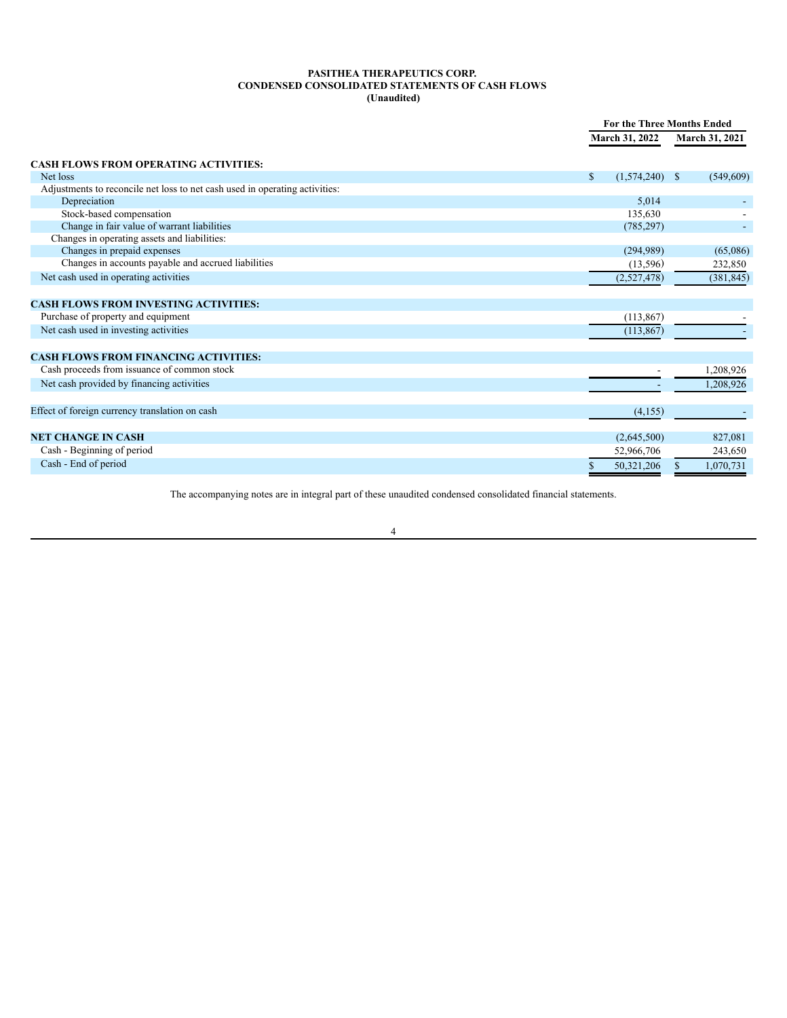## **PASITHEA THERAPEUTICS CORP. CONDENSED CONSOLIDATED STATEMENTS OF CASH FLOWS (Unaudited)**

<span id="page-5-0"></span>

|                                                                             |                             | <b>For the Three Months Ended</b> |  |
|-----------------------------------------------------------------------------|-----------------------------|-----------------------------------|--|
|                                                                             | <b>March 31, 2022</b>       | <b>March 31, 2021</b>             |  |
| <b>CASH FLOWS FROM OPERATING ACTIVITIES:</b>                                |                             |                                   |  |
| Net loss                                                                    | $\mathbb{S}$<br>(1,574,240) | <sup>\$</sup><br>(549,609)        |  |
| Adjustments to reconcile net loss to net cash used in operating activities: |                             |                                   |  |
| Depreciation                                                                | 5,014                       |                                   |  |
| Stock-based compensation                                                    | 135,630                     |                                   |  |
| Change in fair value of warrant liabilities                                 | (785, 297)                  |                                   |  |
| Changes in operating assets and liabilities:                                |                             |                                   |  |
| Changes in prepaid expenses                                                 | (294,989)                   | (65,086)                          |  |
| Changes in accounts payable and accrued liabilities                         | (13, 596)                   | 232,850                           |  |
| Net cash used in operating activities                                       | (2,527,478)                 | (381, 845)                        |  |
| <b>CASH FLOWS FROM INVESTING ACTIVITIES:</b>                                |                             |                                   |  |
| Purchase of property and equipment                                          | (113, 867)                  |                                   |  |
| Net cash used in investing activities                                       | (113, 867)                  |                                   |  |
| <b>CASH FLOWS FROM FINANCING ACTIVITIES:</b>                                |                             |                                   |  |
| Cash proceeds from issuance of common stock                                 |                             | 1,208,926                         |  |
| Net cash provided by financing activities                                   |                             | 1,208,926                         |  |
| Effect of foreign currency translation on cash                              | (4,155)                     |                                   |  |
|                                                                             |                             |                                   |  |
| <b>NET CHANGE IN CASH</b>                                                   | (2,645,500)                 | 827,081                           |  |
| Cash - Beginning of period                                                  | 52,966,706                  | 243,650                           |  |
| Cash - End of period                                                        | 50,321,206                  | 1,070,731<br>\$.                  |  |

The accompanying notes are in integral part of these unaudited condensed consolidated financial statements.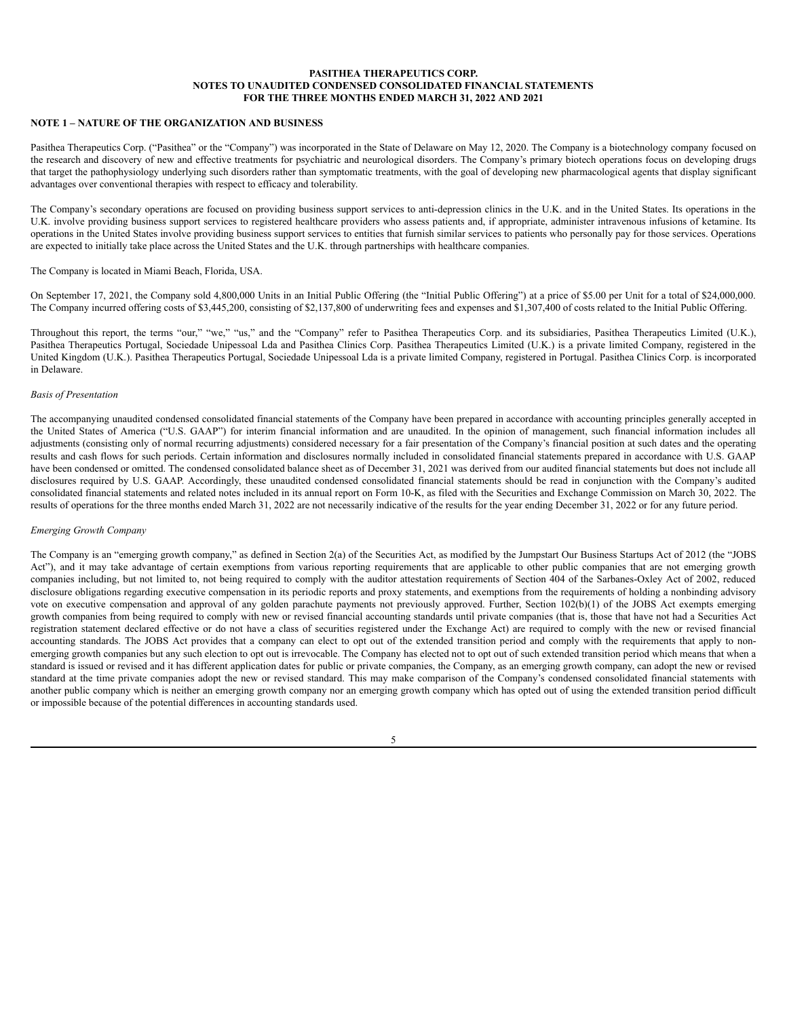## **PASITHEA THERAPEUTICS CORP. NOTES TO UNAUDITED CONDENSED CONSOLIDATED FINANCIAL STATEMENTS FOR THE THREE MONTHS ENDED MARCH 31, 2022 AND 2021**

## <span id="page-6-0"></span>**NOTE 1 – NATURE OF THE ORGANIZATION AND BUSINESS**

Pasithea Therapeutics Corp. ("Pasithea" or the "Company") was incorporated in the State of Delaware on May 12, 2020. The Company is a biotechnology company focused on the research and discovery of new and effective treatments for psychiatric and neurological disorders. The Company's primary biotech operations focus on developing drugs that target the pathophysiology underlying such disorders rather than symptomatic treatments, with the goal of developing new pharmacological agents that display significant advantages over conventional therapies with respect to efficacy and tolerability.

The Company's secondary operations are focused on providing business support services to anti-depression clinics in the U.K. and in the United States. Its operations in the U.K. involve providing business support services to registered healthcare providers who assess patients and, if appropriate, administer intravenous infusions of ketamine. Its operations in the United States involve providing business support services to entities that furnish similar services to patients who personally pay for those services. Operations are expected to initially take place across the United States and the U.K. through partnerships with healthcare companies.

#### The Company is located in Miami Beach, Florida, USA.

On September 17, 2021, the Company sold 4,800,000 Units in an Initial Public Offering (the "Initial Public Offering") at a price of \$5.00 per Unit for a total of \$24,000,000. The Company incurred offering costs of \$3,445,200, consisting of \$2,137,800 of underwriting fees and expenses and \$1,307,400 of costs related to the Initial Public Offering.

Throughout this report, the terms "our," "we," "us," and the "Company" refer to Pasithea Therapeutics Corp. and its subsidiaries, Pasithea Therapeutics Limited (U.K.), Pasithea Therapeutics Portugal, Sociedade Unipessoal Lda and Pasithea Clinics Corp. Pasithea Therapeutics Limited (U.K.) is a private limited Company, registered in the United Kingdom (U.K.). Pasithea Therapeutics Portugal, Sociedade Unipessoal Lda is a private limited Company, registered in Portugal. Pasithea Clinics Corp. is incorporated in Delaware.

## *Basis of Presentation*

The accompanying unaudited condensed consolidated financial statements of the Company have been prepared in accordance with accounting principles generally accepted in the United States of America ("U.S. GAAP") for interim financial information and are unaudited. In the opinion of management, such financial information includes all adjustments (consisting only of normal recurring adjustments) considered necessary for a fair presentation of the Company's financial position at such dates and the operating results and cash flows for such periods. Certain information and disclosures normally included in consolidated financial statements prepared in accordance with U.S. GAAP have been condensed or omitted. The condensed consolidated balance sheet as of December 31, 2021 was derived from our audited financial statements but does not include all disclosures required by U.S. GAAP. Accordingly, these unaudited condensed consolidated financial statements should be read in conjunction with the Company's audited consolidated financial statements and related notes included in its annual report on Form 10-K, as filed with the Securities and Exchange Commission on March 30, 2022. The results of operations for the three months ended March 31, 2022 are not necessarily indicative of the results for the year ending December 31, 2022 or for any future period.

### *Emerging Growth Company*

The Company is an "emerging growth company," as defined in Section 2(a) of the Securities Act, as modified by the Jumpstart Our Business Startups Act of 2012 (the "JOBS Act"), and it may take advantage of certain exemptions from various reporting requirements that are applicable to other public companies that are not emerging growth companies including, but not limited to, not being required to comply with the auditor attestation requirements of Section 404 of the Sarbanes-Oxley Act of 2002, reduced disclosure obligations regarding executive compensation in its periodic reports and proxy statements, and exemptions from the requirements of holding a nonbinding advisory vote on executive compensation and approval of any golden parachute payments not previously approved. Further, Section 102(b)(1) of the JOBS Act exempts emerging growth companies from being required to comply with new or revised financial accounting standards until private companies (that is, those that have not had a Securities Act registration statement declared effective or do not have a class of securities registered under the Exchange Act) are required to comply with the new or revised financial accounting standards. The JOBS Act provides that a company can elect to opt out of the extended transition period and comply with the requirements that apply to nonemerging growth companies but any such election to opt out is irrevocable. The Company has elected not to opt out of such extended transition period which means that when a standard is issued or revised and it has different application dates for public or private companies, the Company, as an emerging growth company, can adopt the new or revised standard at the time private companies adopt the new or revised standard. This may make comparison of the Company's condensed consolidated financial statements with another public company which is neither an emerging growth company nor an emerging growth company which has opted out of using the extended transition period difficult or impossible because of the potential differences in accounting standards used.

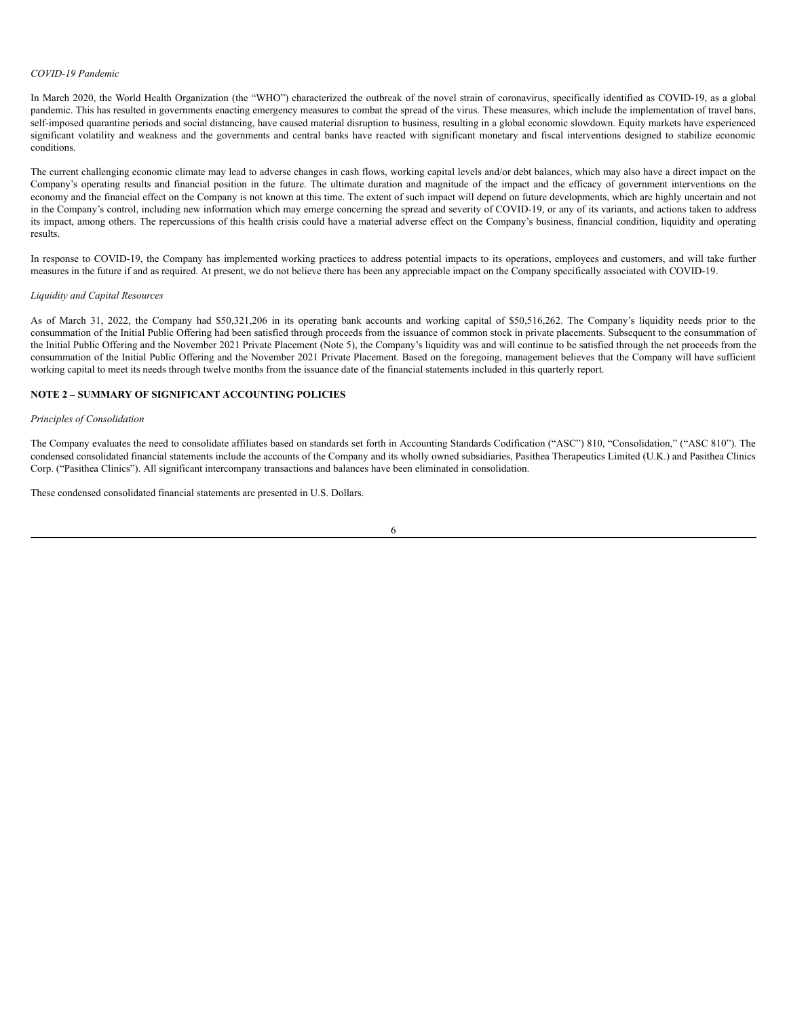## *COVID-19 Pandemic*

In March 2020, the World Health Organization (the "WHO") characterized the outbreak of the novel strain of coronavirus, specifically identified as COVID-19, as a global pandemic. This has resulted in governments enacting emergency measures to combat the spread of the virus. These measures, which include the implementation of travel bans, self-imposed quarantine periods and social distancing, have caused material disruption to business, resulting in a global economic slowdown. Equity markets have experienced significant volatility and weakness and the governments and central banks have reacted with significant monetary and fiscal interventions designed to stabilize economic conditions.

The current challenging economic climate may lead to adverse changes in cash flows, working capital levels and/or debt balances, which may also have a direct impact on the Company's operating results and financial position in the future. The ultimate duration and magnitude of the impact and the efficacy of government interventions on the economy and the financial effect on the Company is not known at this time. The extent of such impact will depend on future developments, which are highly uncertain and not in the Company's control, including new information which may emerge concerning the spread and severity of COVID-19, or any of its variants, and actions taken to address its impact, among others. The repercussions of this health crisis could have a material adverse effect on the Company's business, financial condition, liquidity and operating results.

In response to COVID-19, the Company has implemented working practices to address potential impacts to its operations, employees and customers, and will take further measures in the future if and as required. At present, we do not believe there has been any appreciable impact on the Company specifically associated with COVID-19.

## *Liquidity and Capital Resources*

As of March 31, 2022, the Company had \$50,321,206 in its operating bank accounts and working capital of \$50,516,262. The Company's liquidity needs prior to the consummation of the Initial Public Offering had been satisfied through proceeds from the issuance of common stock in private placements. Subsequent to the consummation of the Initial Public Offering and the November 2021 Private Placement (Note 5), the Company's liquidity was and will continue to be satisfied through the net proceeds from the consummation of the Initial Public Offering and the November 2021 Private Placement. Based on the foregoing, management believes that the Company will have sufficient working capital to meet its needs through twelve months from the issuance date of the financial statements included in this quarterly report.

## **NOTE 2 – SUMMARY OF SIGNIFICANT ACCOUNTING POLICIES**

#### *Principles of Consolidation*

The Company evaluates the need to consolidate affiliates based on standards set forth in Accounting Standards Codification ("ASC") 810, "Consolidation," ("ASC 810"). The condensed consolidated financial statements include the accounts of the Company and its wholly owned subsidiaries, Pasithea Therapeutics Limited (U.K.) and Pasithea Clinics Corp. ("Pasithea Clinics"). All significant intercompany transactions and balances have been eliminated in consolidation.

These condensed consolidated financial statements are presented in U.S. Dollars.

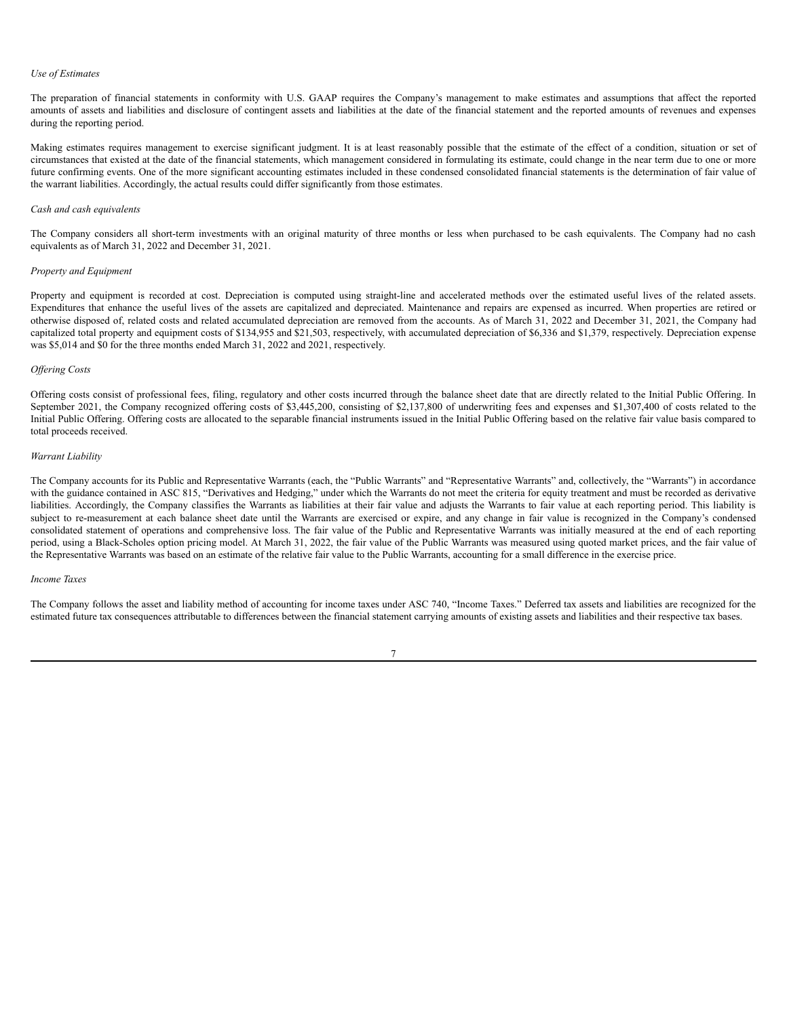#### *Use of Estimates*

The preparation of financial statements in conformity with U.S. GAAP requires the Company's management to make estimates and assumptions that affect the reported amounts of assets and liabilities and disclosure of contingent assets and liabilities at the date of the financial statement and the reported amounts of revenues and expenses during the reporting period.

Making estimates requires management to exercise significant judgment. It is at least reasonably possible that the estimate of the effect of a condition, situation or set of circumstances that existed at the date of the financial statements, which management considered in formulating its estimate, could change in the near term due to one or more future confirming events. One of the more significant accounting estimates included in these condensed consolidated financial statements is the determination of fair value of the warrant liabilities. Accordingly, the actual results could differ significantly from those estimates.

## *Cash and cash equivalents*

The Company considers all short-term investments with an original maturity of three months or less when purchased to be cash equivalents. The Company had no cash equivalents as of March 31, 2022 and December 31, 2021.

#### *Property and Equipment*

Property and equipment is recorded at cost. Depreciation is computed using straight-line and accelerated methods over the estimated useful lives of the related assets. Expenditures that enhance the useful lives of the assets are capitalized and depreciated. Maintenance and repairs are expensed as incurred. When properties are retired or otherwise disposed of, related costs and related accumulated depreciation are removed from the accounts. As of March 31, 2022 and December 31, 2021, the Company had capitalized total property and equipment costs of \$134,955 and \$21,503, respectively, with accumulated depreciation of \$6,336 and \$1,379, respectively. Depreciation expense was \$5,014 and \$0 for the three months ended March 31, 2022 and 2021, respectively.

## *Of ering Costs*

Offering costs consist of professional fees, filing, regulatory and other costs incurred through the balance sheet date that are directly related to the Initial Public Offering. In September 2021, the Company recognized offering costs of \$3,445,200, consisting of \$2,137,800 of underwriting fees and expenses and \$1,307,400 of costs related to the Initial Public Offering. Offering costs are allocated to the separable financial instruments issued in the Initial Public Offering based on the relative fair value basis compared to total proceeds received.

#### *Warrant Liability*

The Company accounts for its Public and Representative Warrants (each, the "Public Warrants" and "Representative Warrants" and, collectively, the "Warrants") in accordance with the guidance contained in ASC 815, "Derivatives and Hedging," under which the Warrants do not meet the criteria for equity treatment and must be recorded as derivative liabilities. Accordingly, the Company classifies the Warrants as liabilities at their fair value and adjusts the Warrants to fair value at each reporting period. This liability is subject to re-measurement at each balance sheet date until the Warrants are exercised or expire, and any change in fair value is recognized in the Company's condensed consolidated statement of operations and comprehensive loss. The fair value of the Public and Representative Warrants was initially measured at the end of each reporting period, using a Black-Scholes option pricing model. At March 31, 2022, the fair value of the Public Warrants was measured using quoted market prices, and the fair value of the Representative Warrants was based on an estimate of the relative fair value to the Public Warrants, accounting for a small difference in the exercise price.

#### *Income Taxes*

The Company follows the asset and liability method of accounting for income taxes under ASC 740, "Income Taxes." Deferred tax assets and liabilities are recognized for the estimated future tax consequences attributable to differences between the financial statement carrying amounts of existing assets and liabilities and their respective tax bases.

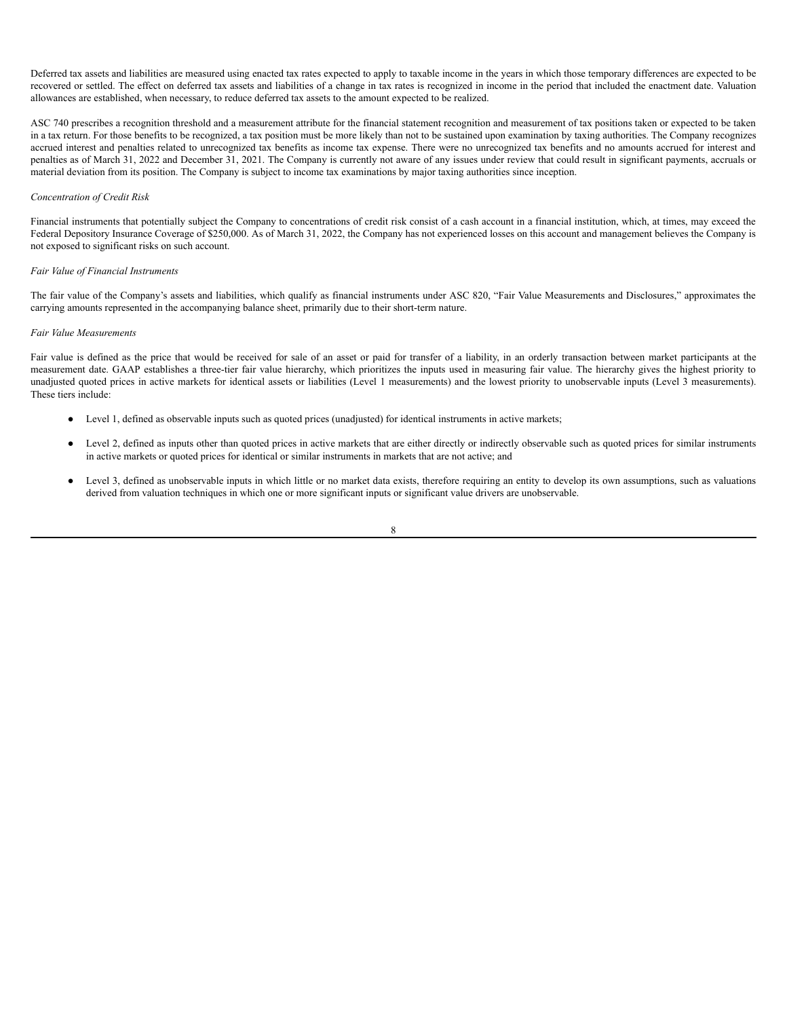Deferred tax assets and liabilities are measured using enacted tax rates expected to apply to taxable income in the years in which those temporary differences are expected to be recovered or settled. The effect on deferred tax assets and liabilities of a change in tax rates is recognized in income in the period that included the enactment date. Valuation allowances are established, when necessary, to reduce deferred tax assets to the amount expected to be realized.

ASC 740 prescribes a recognition threshold and a measurement attribute for the financial statement recognition and measurement of tax positions taken or expected to be taken in a tax return. For those benefits to be recognized, a tax position must be more likely than not to be sustained upon examination by taxing authorities. The Company recognizes accrued interest and penalties related to unrecognized tax benefits as income tax expense. There were no unrecognized tax benefits and no amounts accrued for interest and penalties as of March 31, 2022 and December 31, 2021. The Company is currently not aware of any issues under review that could result in significant payments, accruals or material deviation from its position. The Company is subject to income tax examinations by major taxing authorities since inception.

## *Concentration of Credit Risk*

Financial instruments that potentially subject the Company to concentrations of credit risk consist of a cash account in a financial institution, which, at times, may exceed the Federal Depository Insurance Coverage of \$250,000. As of March 31, 2022, the Company has not experienced losses on this account and management believes the Company is not exposed to significant risks on such account.

## *Fair Value of Financial Instruments*

The fair value of the Company's assets and liabilities, which qualify as financial instruments under ASC 820, "Fair Value Measurements and Disclosures," approximates the carrying amounts represented in the accompanying balance sheet, primarily due to their short-term nature.

## *Fair Value Measurements*

Fair value is defined as the price that would be received for sale of an asset or paid for transfer of a liability, in an orderly transaction between market participants at the measurement date. GAAP establishes a three-tier fair value hierarchy, which prioritizes the inputs used in measuring fair value. The hierarchy gives the highest priority to unadjusted quoted prices in active markets for identical assets or liabilities (Level 1 measurements) and the lowest priority to unobservable inputs (Level 3 measurements). These tiers include:

- Level 1, defined as observable inputs such as quoted prices (unadjusted) for identical instruments in active markets;
- Level 2, defined as inputs other than quoted prices in active markets that are either directly or indirectly observable such as quoted prices for similar instruments in active markets or quoted prices for identical or similar instruments in markets that are not active; and
- Level 3, defined as unobservable inputs in which little or no market data exists, therefore requiring an entity to develop its own assumptions, such as valuations derived from valuation techniques in which one or more significant inputs or significant value drivers are unobservable.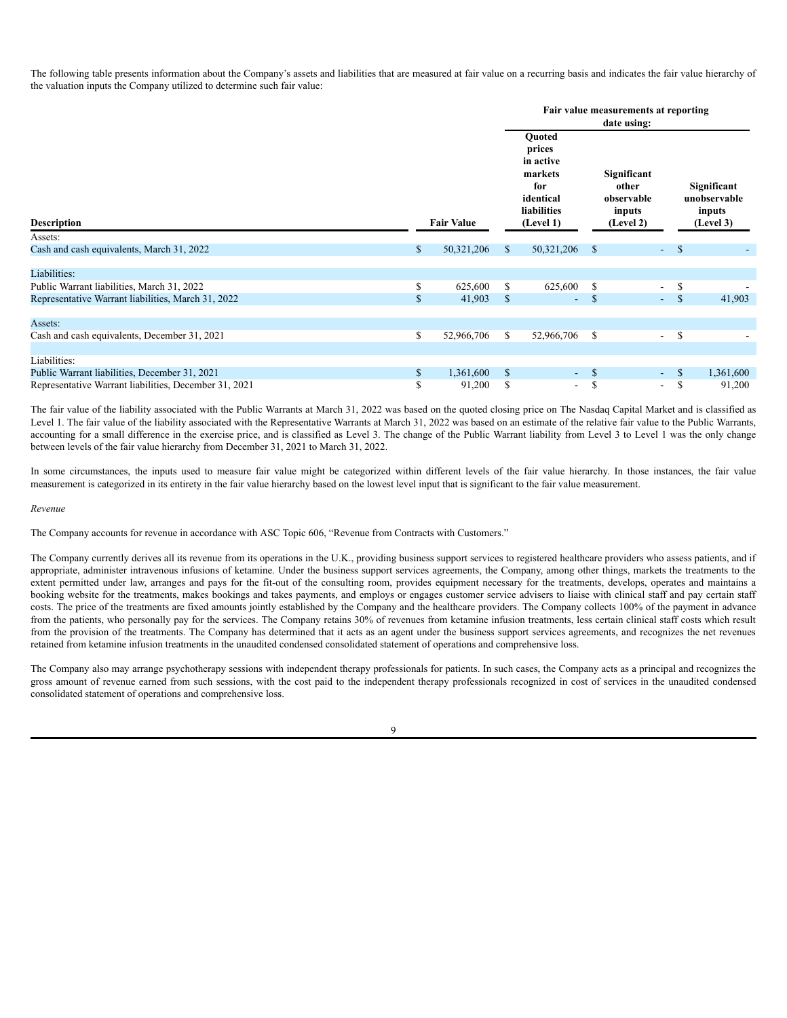The following table presents information about the Company's assets and liabilities that are measured at fair value on a recurring basis and indicates the fair value hierarchy of the valuation inputs the Company utilized to determine such fair value:

|                                                       |                   | Fair value measurements at reporting |                                                                                                 |               |                                                           |               |                                                    |
|-------------------------------------------------------|-------------------|--------------------------------------|-------------------------------------------------------------------------------------------------|---------------|-----------------------------------------------------------|---------------|----------------------------------------------------|
|                                                       |                   | date using:                          |                                                                                                 |               |                                                           |               |                                                    |
| <b>Description</b>                                    | <b>Fair Value</b> |                                      | <b>Ouoted</b><br>prices<br>in active<br>markets<br>for<br>identical<br>liabilities<br>(Level 1) |               | Significant<br>other<br>observable<br>inputs<br>(Level 2) |               | Significant<br>unobservable<br>inputs<br>(Level 3) |
| Assets:                                               |                   |                                      |                                                                                                 |               |                                                           |               |                                                    |
| Cash and cash equivalents, March 31, 2022             | \$<br>50,321,206  | $\mathbb{S}$                         | 50,321,206                                                                                      | <sup>\$</sup> | $\Delta \sim 10$                                          | \$            |                                                    |
| Liabilities:                                          |                   |                                      |                                                                                                 |               |                                                           |               |                                                    |
| Public Warrant liabilities, March 31, 2022            | \$<br>625,600     | \$                                   | 625,600                                                                                         | <sup>\$</sup> | $\mathbb{Z}^{\mathbb{Z}}$                                 | S             |                                                    |
| Representative Warrant liabilities, March 31, 2022    | \$<br>41,903      | $\mathbb{S}$                         | $\sim$                                                                                          | <sup>\$</sup> | $\Delta \sim 10$                                          | <sup>\$</sup> | 41,903                                             |
|                                                       |                   |                                      |                                                                                                 |               |                                                           |               |                                                    |
| Assets:                                               |                   |                                      |                                                                                                 |               |                                                           |               |                                                    |
| Cash and cash equivalents, December 31, 2021          | \$<br>52,966,706  | \$                                   | 52,966,706                                                                                      | \$            | $\omega$                                                  | \$            |                                                    |
|                                                       |                   |                                      |                                                                                                 |               |                                                           |               |                                                    |
| Liabilities:                                          |                   |                                      |                                                                                                 |               |                                                           |               |                                                    |
| Public Warrant liabilities, December 31, 2021         | \$<br>1,361,600   | $\mathbb{S}$                         |                                                                                                 | $-5$          | $\mathcal{L}_{\mathcal{A}}$                               | <sup>\$</sup> | 1,361,600                                          |
| Representative Warrant liabilities, December 31, 2021 | \$<br>91,200      | \$                                   | ۰.                                                                                              | \$            | $\sim$                                                    | S             | 91,200                                             |

The fair value of the liability associated with the Public Warrants at March 31, 2022 was based on the quoted closing price on The Nasdaq Capital Market and is classified as Level 1. The fair value of the liability associated with the Representative Warrants at March 31, 2022 was based on an estimate of the relative fair value to the Public Warrants, accounting for a small difference in the exercise price, and is classified as Level 3. The change of the Public Warrant liability from Level 3 to Level 1 was the only change between levels of the fair value hierarchy from December 31, 2021 to March 31, 2022.

In some circumstances, the inputs used to measure fair value might be categorized within different levels of the fair value hierarchy. In those instances, the fair value measurement is categorized in its entirety in the fair value hierarchy based on the lowest level input that is significant to the fair value measurement.

*Revenue*

The Company accounts for revenue in accordance with ASC Topic 606, "Revenue from Contracts with Customers."

The Company currently derives all its revenue from its operations in the U.K., providing business support services to registered healthcare providers who assess patients, and if appropriate, administer intravenous infusions of ketamine. Under the business support services agreements, the Company, among other things, markets the treatments to the extent permitted under law, arranges and pays for the fit-out of the consulting room, provides equipment necessary for the treatments, develops, operates and maintains a booking website for the treatments, makes bookings and takes payments, and employs or engages customer service advisers to liaise with clinical staff and pay certain staff costs. The price of the treatments are fixed amounts jointly established by the Company and the healthcare providers. The Company collects 100% of the payment in advance from the patients, who personally pay for the services. The Company retains 30% of revenues from ketamine infusion treatments, less certain clinical staff costs which result from the provision of the treatments. The Company has determined that it acts as an agent under the business support services agreements, and recognizes the net revenues retained from ketamine infusion treatments in the unaudited condensed consolidated statement of operations and comprehensive loss.

The Company also may arrange psychotherapy sessions with independent therapy professionals for patients. In such cases, the Company acts as a principal and recognizes the gross amount of revenue earned from such sessions, with the cost paid to the independent therapy professionals recognized in cost of services in the unaudited condensed consolidated statement of operations and comprehensive loss.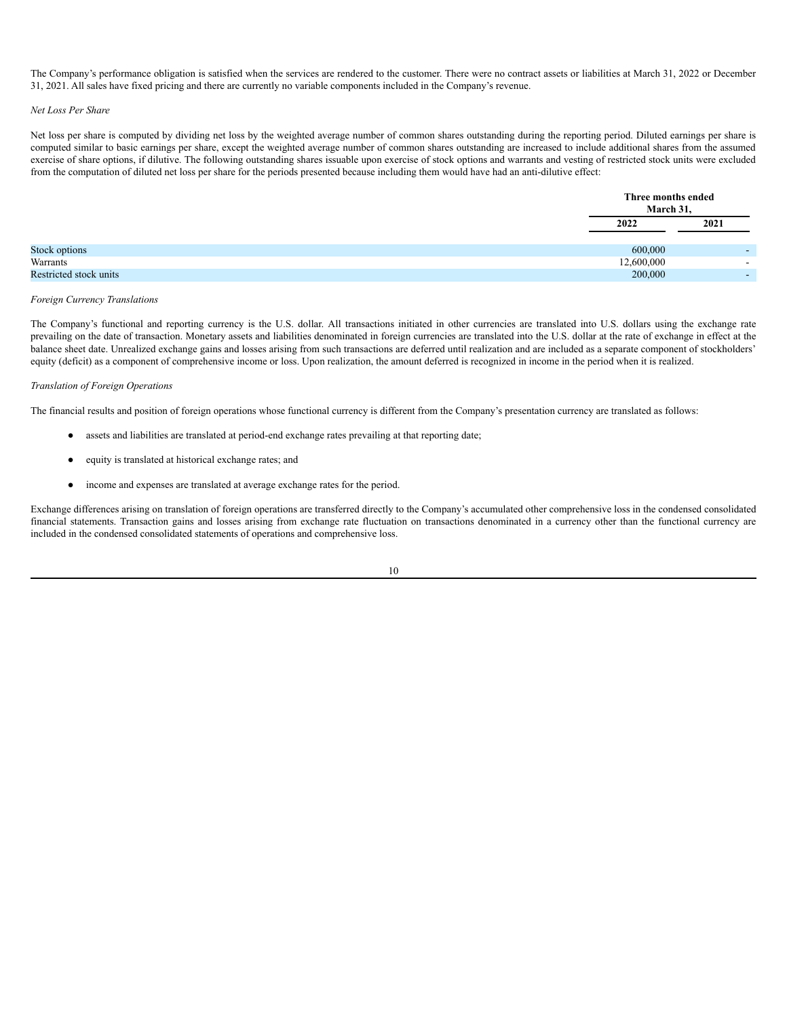The Company's performance obligation is satisfied when the services are rendered to the customer. There were no contract assets or liabilities at March 31, 2022 or December 31, 2021. All sales have fixed pricing and there are currently no variable components included in the Company's revenue.

#### *Net Loss Per Share*

Net loss per share is computed by dividing net loss by the weighted average number of common shares outstanding during the reporting period. Diluted earnings per share is computed similar to basic earnings per share, except the weighted average number of common shares outstanding are increased to include additional shares from the assumed exercise of share options, if dilutive. The following outstanding shares issuable upon exercise of stock options and warrants and vesting of restricted stock units were excluded from the computation of diluted net loss per share for the periods presented because including them would have had an anti-dilutive effect:

|                        | Three months ended<br>March 31, |                          |
|------------------------|---------------------------------|--------------------------|
|                        | 2022                            | 2021                     |
| Stock options          | 600,000                         | $\sim$                   |
| Warrants               | 12,600,000                      | $\overline{\phantom{a}}$ |
| Restricted stock units | 200,000                         | -                        |

#### *Foreign Currency Translations*

The Company's functional and reporting currency is the U.S. dollar. All transactions initiated in other currencies are translated into U.S. dollars using the exchange rate prevailing on the date of transaction. Monetary assets and liabilities denominated in foreign currencies are translated into the U.S. dollar at the rate of exchange in effect at the balance sheet date. Unrealized exchange gains and losses arising from such transactions are deferred until realization and are included as a separate component of stockholders' equity (deficit) as a component of comprehensive income or loss. Upon realization, the amount deferred is recognized in income in the period when it is realized.

#### *Translation of Foreign Operations*

The financial results and position of foreign operations whose functional currency is different from the Company's presentation currency are translated as follows:

- assets and liabilities are translated at period-end exchange rates prevailing at that reporting date;
- equity is translated at historical exchange rates; and
- income and expenses are translated at average exchange rates for the period.

Exchange differences arising on translation of foreign operations are transferred directly to the Company's accumulated other comprehensive loss in the condensed consolidated financial statements. Transaction gains and losses arising from exchange rate fluctuation on transactions denominated in a currency other than the functional currency are included in the condensed consolidated statements of operations and comprehensive loss.

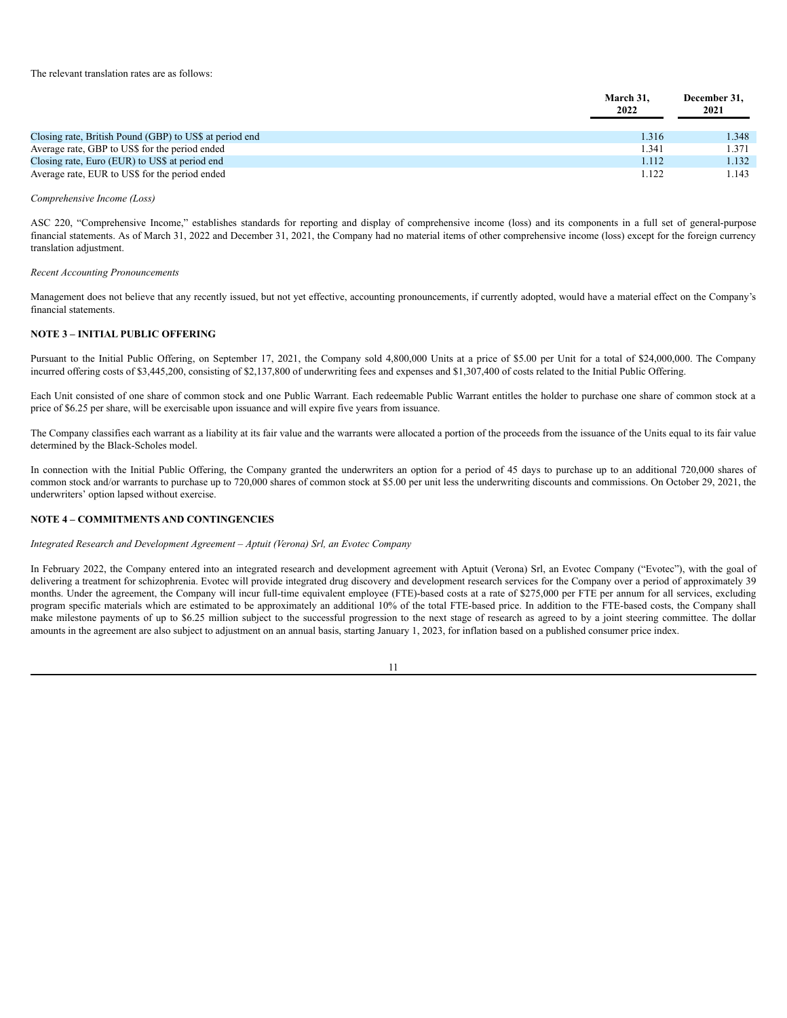|                                                         | March 31.<br>2022 | December 31.<br>2021 |
|---------------------------------------------------------|-------------------|----------------------|
| Closing rate, British Pound (GBP) to US\$ at period end | 1.316             | 1.348                |
| Average rate, GBP to US\$ for the period ended          | 1.341             | 1.371                |
| Closing rate, Euro (EUR) to US\$ at period end          | 1.112             | 1.132                |
| Average rate, EUR to US\$ for the period ended          | 1.122             | 1.143                |

### *Comprehensive Income (Loss)*

ASC 220, "Comprehensive Income," establishes standards for reporting and display of comprehensive income (loss) and its components in a full set of general-purpose financial statements. As of March 31, 2022 and December 31, 2021, the Company had no material items of other comprehensive income (loss) except for the foreign currency translation adjustment.

### *Recent Accounting Pronouncements*

Management does not believe that any recently issued, but not yet effective, accounting pronouncements, if currently adopted, would have a material effect on the Company's financial statements.

## **NOTE 3 – INITIAL PUBLIC OFFERING**

Pursuant to the Initial Public Offering, on September 17, 2021, the Company sold 4,800,000 Units at a price of \$5.00 per Unit for a total of \$24,000,000. The Company incurred offering costs of \$3,445,200, consisting of \$2,137,800 of underwriting fees and expenses and \$1,307,400 of costs related to the Initial Public Offering.

Each Unit consisted of one share of common stock and one Public Warrant. Each redeemable Public Warrant entitles the holder to purchase one share of common stock at a price of \$6.25 per share, will be exercisable upon issuance and will expire five years from issuance.

The Company classifies each warrant as a liability at its fair value and the warrants were allocated a portion of the proceeds from the issuance of the Units equal to its fair value determined by the Black-Scholes model.

In connection with the Initial Public Offering, the Company granted the underwriters an option for a period of 45 days to purchase up to an additional 720,000 shares of common stock and/or warrants to purchase up to 720,000 shares of common stock at \$5.00 per unit less the underwriting discounts and commissions. On October 29, 2021, the underwriters' option lapsed without exercise.

## **NOTE 4 – COMMITMENTS AND CONTINGENCIES**

*Integrated Research and Development Agreement – Aptuit (Verona) Srl, an Evotec Company*

In February 2022, the Company entered into an integrated research and development agreement with Aptuit (Verona) Srl, an Evotec Company ("Evotec"), with the goal of delivering a treatment for schizophrenia. Evotec will provide integrated drug discovery and development research services for the Company over a period of approximately 39 months. Under the agreement, the Company will incur full-time equivalent employee (FTE)-based costs at a rate of \$275,000 per FTE per annum for all services, excluding program specific materials which are estimated to be approximately an additional 10% of the total FTE-based price. In addition to the FTE-based costs, the Company shall make milestone payments of up to \$6.25 million subject to the successful progression to the next stage of research as agreed to by a joint steering committee. The dollar amounts in the agreement are also subject to adjustment on an annual basis, starting January 1, 2023, for inflation based on a published consumer price index.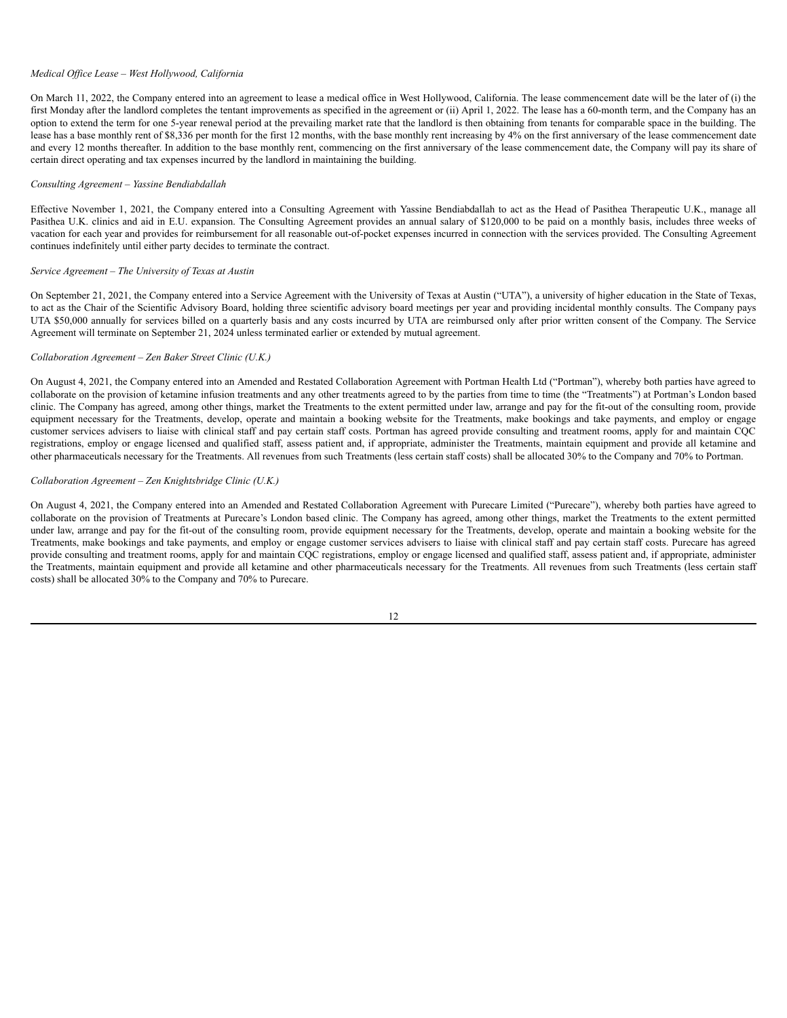## *Medical Of ice Lease – West Hollywood, California*

On March 11, 2022, the Company entered into an agreement to lease a medical office in West Hollywood, California. The lease commencement date will be the later of (i) the first Monday after the landlord completes the tentant improvements as specified in the agreement or (ii) April 1, 2022. The lease has a 60-month term, and the Company has an option to extend the term for one 5-year renewal period at the prevailing market rate that the landlord is then obtaining from tenants for comparable space in the building. The lease has a base monthly rent of \$8,336 per month for the first 12 months, with the base monthly rent increasing by 4% on the first anniversary of the lease commencement date and every 12 months thereafter. In addition to the base monthly rent, commencing on the first anniversary of the lease commencement date, the Company will pay its share of certain direct operating and tax expenses incurred by the landlord in maintaining the building.

## *Consulting Agreement – Yassine Bendiabdallah*

Effective November 1, 2021, the Company entered into a Consulting Agreement with Yassine Bendiabdallah to act as the Head of Pasithea Therapeutic U.K., manage all Pasithea U.K. clinics and aid in E.U. expansion. The Consulting Agreement provides an annual salary of \$120,000 to be paid on a monthly basis, includes three weeks of vacation for each year and provides for reimbursement for all reasonable out-of-pocket expenses incurred in connection with the services provided. The Consulting Agreement continues indefinitely until either party decides to terminate the contract.

#### *Service Agreement – The University of Texas at Austin*

On September 21, 2021, the Company entered into a Service Agreement with the University of Texas at Austin ("UTA"), a university of higher education in the State of Texas, to act as the Chair of the Scientific Advisory Board, holding three scientific advisory board meetings per year and providing incidental monthly consults. The Company pays UTA \$50,000 annually for services billed on a quarterly basis and any costs incurred by UTA are reimbursed only after prior written consent of the Company. The Service Agreement will terminate on September 21, 2024 unless terminated earlier or extended by mutual agreement.

### *Collaboration Agreement – Zen Baker Street Clinic (U.K.)*

On August 4, 2021, the Company entered into an Amended and Restated Collaboration Agreement with Portman Health Ltd ("Portman"), whereby both parties have agreed to collaborate on the provision of ketamine infusion treatments and any other treatments agreed to by the parties from time to time (the "Treatments") at Portman's London based clinic. The Company has agreed, among other things, market the Treatments to the extent permitted under law, arrange and pay for the fit-out of the consulting room, provide equipment necessary for the Treatments, develop, operate and maintain a booking website for the Treatments, make bookings and take payments, and employ or engage customer services advisers to liaise with clinical staff and pay certain staff costs. Portman has agreed provide consulting and treatment rooms, apply for and maintain CQC registrations, employ or engage licensed and qualified staff, assess patient and, if appropriate, administer the Treatments, maintain equipment and provide all ketamine and other pharmaceuticals necessary for the Treatments. All revenues from such Treatments (less certain staff costs) shall be allocated 30% to the Company and 70% to Portman.

## *Collaboration Agreement – Zen Knightsbridge Clinic (U.K.)*

On August 4, 2021, the Company entered into an Amended and Restated Collaboration Agreement with Purecare Limited ("Purecare"), whereby both parties have agreed to collaborate on the provision of Treatments at Purecare's London based clinic. The Company has agreed, among other things, market the Treatments to the extent permitted under law, arrange and pay for the fit-out of the consulting room, provide equipment necessary for the Treatments, develop, operate and maintain a booking website for the Treatments, make bookings and take payments, and employ or engage customer services advisers to liaise with clinical staff and pay certain staff costs. Purecare has agreed provide consulting and treatment rooms, apply for and maintain CQC registrations, employ or engage licensed and qualified staff, assess patient and, if appropriate, administer the Treatments, maintain equipment and provide all ketamine and other pharmaceuticals necessary for the Treatments. All revenues from such Treatments (less certain staff costs) shall be allocated 30% to the Company and 70% to Purecare.

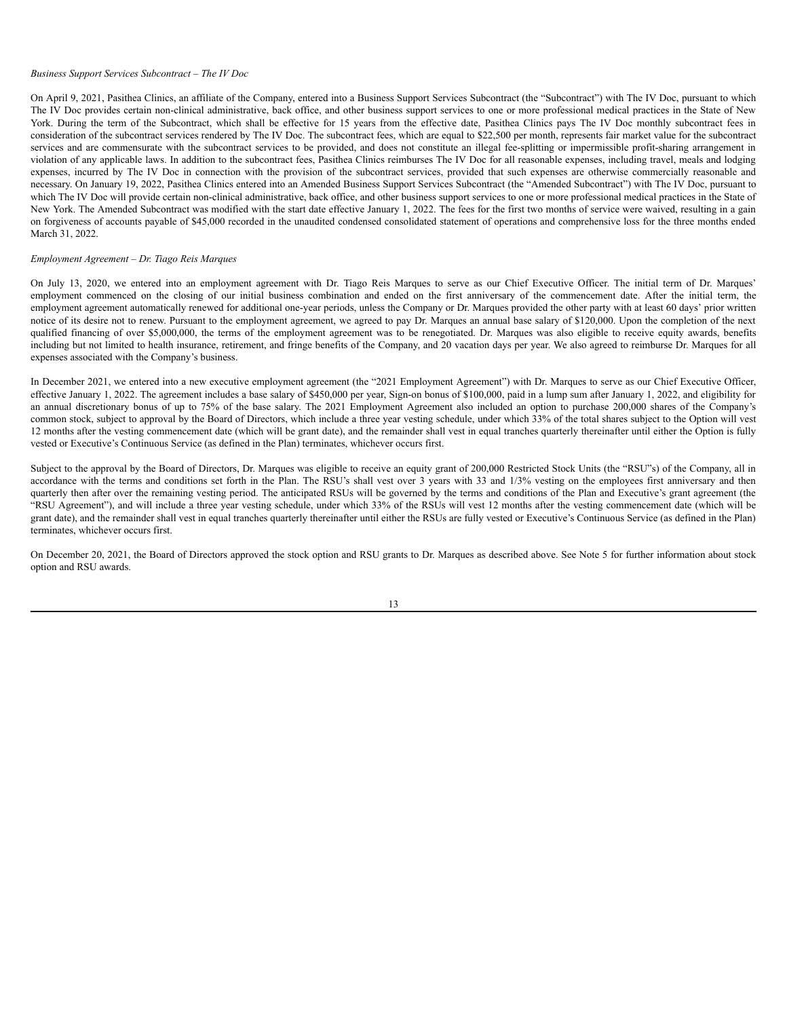#### *Business Support Services Subcontract – The IV Doc*

On April 9, 2021, Pasithea Clinics, an affiliate of the Company, entered into a Business Support Services Subcontract (the "Subcontract") with The IV Doc, pursuant to which The IV Doc provides certain non-clinical administrative, back office, and other business support services to one or more professional medical practices in the State of New York. During the term of the Subcontract, which shall be effective for 15 years from the effective date, Pasithea Clinics pays The IV Doc monthly subcontract fees in consideration of the subcontract services rendered by The IV Doc. The subcontract fees, which are equal to \$22,500 per month, represents fair market value for the subcontract services and are commensurate with the subcontract services to be provided, and does not constitute an illegal fee-splitting or impermissible profit-sharing arrangement in violation of any applicable laws. In addition to the subcontract fees, Pasithea Clinics reimburses The IV Doc for all reasonable expenses, including travel, meals and lodging expenses, incurred by The IV Doc in connection with the provision of the subcontract services, provided that such expenses are otherwise commercially reasonable and necessary. On January 19, 2022, Pasithea Clinics entered into an Amended Business Support Services Subcontract (the "Amended Subcontract") with The IV Doc, pursuant to which The IV Doc will provide certain non-clinical administrative, back office, and other business support services to one or more professional medical practices in the State of New York. The Amended Subcontract was modified with the start date effective January 1, 2022. The fees for the first two months of service were waived, resulting in a gain on forgiveness of accounts payable of \$45,000 recorded in the unaudited condensed consolidated statement of operations and comprehensive loss for the three months ended March 31, 2022.

## *Employment Agreement – Dr. Tiago Reis Marques*

On July 13, 2020, we entered into an employment agreement with Dr. Tiago Reis Marques to serve as our Chief Executive Officer. The initial term of Dr. Marques' employment commenced on the closing of our initial business combination and ended on the first anniversary of the commencement date. After the initial term, the employment agreement automatically renewed for additional one-year periods, unless the Company or Dr. Marques provided the other party with at least 60 days' prior written notice of its desire not to renew. Pursuant to the employment agreement, we agreed to pay Dr. Marques an annual base salary of \$120,000. Upon the completion of the next qualified financing of over \$5,000,000, the terms of the employment agreement was to be renegotiated. Dr. Marques was also eligible to receive equity awards, benefits including but not limited to health insurance, retirement, and fringe benefits of the Company, and 20 vacation days per year. We also agreed to reimburse Dr. Marques for all expenses associated with the Company's business.

In December 2021, we entered into a new executive employment agreement (the "2021 Employment Agreement") with Dr. Marques to serve as our Chief Executive Officer, effective January 1, 2022. The agreement includes a base salary of \$450,000 per year, Sign-on bonus of \$100,000, paid in a lump sum after January 1, 2022, and eligibility for an annual discretionary bonus of up to 75% of the base salary. The 2021 Employment Agreement also included an option to purchase 200,000 shares of the Company's common stock, subject to approval by the Board of Directors, which include a three year vesting schedule, under which 33% of the total shares subject to the Option will vest 12 months after the vesting commencement date (which will be grant date), and the remainder shall vest in equal tranches quarterly thereinafter until either the Option is fully vested or Executive's Continuous Service (as defined in the Plan) terminates, whichever occurs first.

Subject to the approval by the Board of Directors, Dr. Marques was eligible to receive an equity grant of 200,000 Restricted Stock Units (the "RSU"s) of the Company, all in accordance with the terms and conditions set forth in the Plan. The RSU's shall vest over 3 years with 33 and 1/3% vesting on the employees first anniversary and then quarterly then after over the remaining vesting period. The anticipated RSUs will be governed by the terms and conditions of the Plan and Executive's grant agreement (the "RSU Agreement"), and will include a three year vesting schedule, under which 33% of the RSUs will vest 12 months after the vesting commencement date (which will be grant date), and the remainder shall vest in equal tranches quarterly thereinafter until either the RSUs are fully vested or Executive's Continuous Service (as defined in the Plan) terminates, whichever occurs first.

On December 20, 2021, the Board of Directors approved the stock option and RSU grants to Dr. Marques as described above. See Note 5 for further information about stock option and RSU awards.

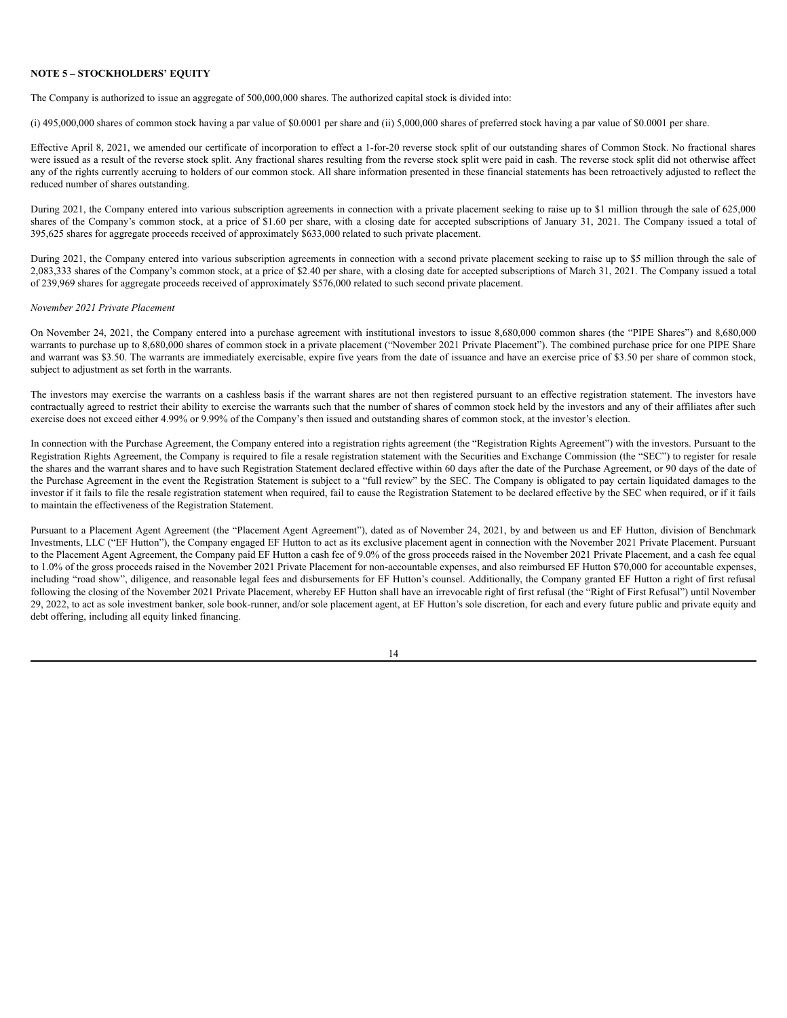### **NOTE 5 – STOCKHOLDERS' EQUITY**

The Company is authorized to issue an aggregate of 500,000,000 shares. The authorized capital stock is divided into:

(i) 495,000,000 shares of common stock having a par value of \$0.0001 per share and (ii) 5,000,000 shares of preferred stock having a par value of \$0.0001 per share.

Effective April 8, 2021, we amended our certificate of incorporation to effect a 1-for-20 reverse stock split of our outstanding shares of Common Stock. No fractional shares were issued as a result of the reverse stock split. Any fractional shares resulting from the reverse stock split were paid in cash. The reverse stock split did not otherwise affect any of the rights currently accruing to holders of our common stock. All share information presented in these financial statements has been retroactively adjusted to reflect the reduced number of shares outstanding.

During 2021, the Company entered into various subscription agreements in connection with a private placement seeking to raise up to \$1 million through the sale of 625,000 shares of the Company's common stock, at a price of \$1.60 per share, with a closing date for accepted subscriptions of January 31, 2021. The Company issued a total of 395,625 shares for aggregate proceeds received of approximately \$633,000 related to such private placement.

During 2021, the Company entered into various subscription agreements in connection with a second private placement seeking to raise up to \$5 million through the sale of 2,083,333 shares of the Company's common stock, at a price of \$2.40 per share, with a closing date for accepted subscriptions of March 31, 2021. The Company issued a total of 239,969 shares for aggregate proceeds received of approximately \$576,000 related to such second private placement.

### *November 2021 Private Placement*

On November 24, 2021, the Company entered into a purchase agreement with institutional investors to issue 8,680,000 common shares (the "PIPE Shares") and 8,680,000 warrants to purchase up to 8,680,000 shares of common stock in a private placement ("November 2021 Private Placement"). The combined purchase price for one PIPE Share and warrant was \$3.50. The warrants are immediately exercisable, expire five years from the date of issuance and have an exercise price of \$3.50 per share of common stock, subject to adjustment as set forth in the warrants.

The investors may exercise the warrants on a cashless basis if the warrant shares are not then registered pursuant to an effective registration statement. The investors have contractually agreed to restrict their ability to exercise the warrants such that the number of shares of common stock held by the investors and any of their affiliates after such exercise does not exceed either 4.99% or 9.99% of the Company's then issued and outstanding shares of common stock, at the investor's election.

In connection with the Purchase Agreement, the Company entered into a registration rights agreement (the "Registration Rights Agreement") with the investors. Pursuant to the Registration Rights Agreement, the Company is required to file a resale registration statement with the Securities and Exchange Commission (the "SEC") to register for resale the shares and the warrant shares and to have such Registration Statement declared effective within 60 days after the date of the Purchase Agreement, or 90 days of the date of the Purchase Agreement in the event the Registration Statement is subject to a "full review" by the SEC. The Company is obligated to pay certain liquidated damages to the investor if it fails to file the resale registration statement when required, fail to cause the Registration Statement to be declared effective by the SEC when required, or if it fails to maintain the effectiveness of the Registration Statement.

Pursuant to a Placement Agent Agreement (the "Placement Agent Agreement"), dated as of November 24, 2021, by and between us and EF Hutton, division of Benchmark Investments, LLC ("EF Hutton"), the Company engaged EF Hutton to act as its exclusive placement agent in connection with the November 2021 Private Placement. Pursuant to the Placement Agent Agreement, the Company paid EF Hutton a cash fee of 9.0% of the gross proceeds raised in the November 2021 Private Placement, and a cash fee equal to 1.0% of the gross proceeds raised in the November 2021 Private Placement for non-accountable expenses, and also reimbursed EF Hutton \$70,000 for accountable expenses, including "road show", diligence, and reasonable legal fees and disbursements for EF Hutton's counsel. Additionally, the Company granted EF Hutton a right of first refusal following the closing of the November 2021 Private Placement, whereby EF Hutton shall have an irrevocable right of first refusal (the "Right of First Refusal") until November 29, 2022, to act as sole investment banker, sole book-runner, and/or sole placement agent, at EF Hutton's sole discretion, for each and every future public and private equity and debt offering, including all equity linked financing.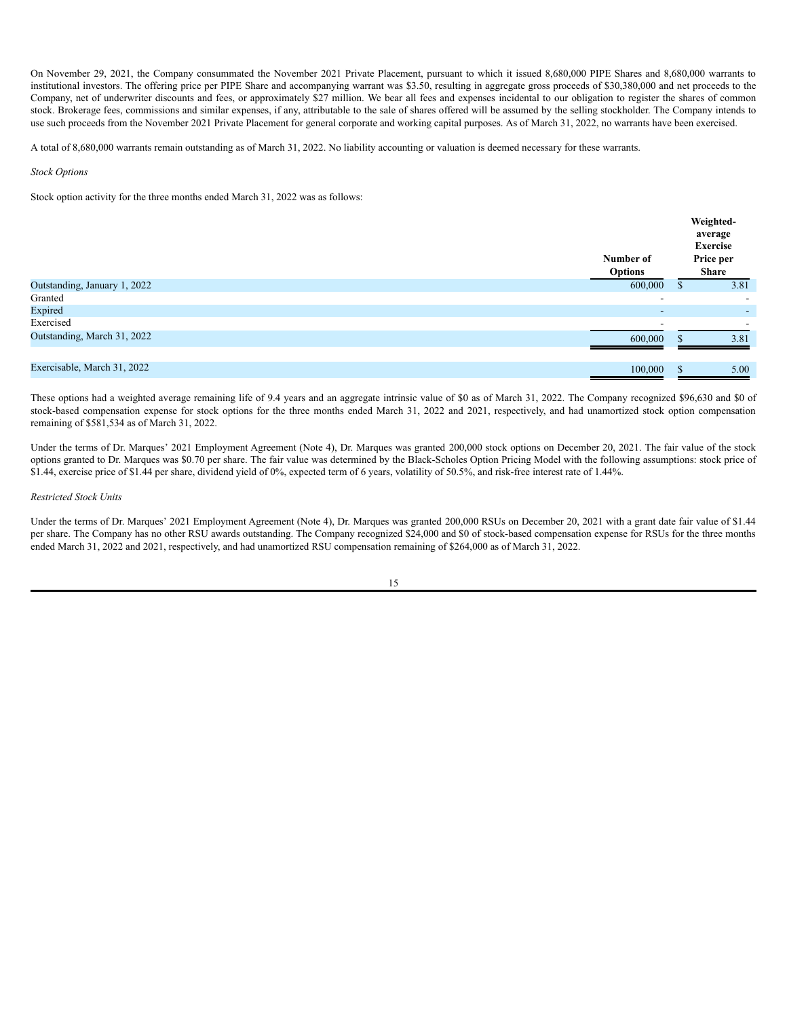On November 29, 2021, the Company consummated the November 2021 Private Placement, pursuant to which it issued 8,680,000 PIPE Shares and 8,680,000 warrants to institutional investors. The offering price per PIPE Share and accompanying warrant was \$3.50, resulting in aggregate gross proceeds of \$30,380,000 and net proceeds to the Company, net of underwriter discounts and fees, or approximately \$27 million. We bear all fees and expenses incidental to our obligation to register the shares of common stock. Brokerage fees, commissions and similar expenses, if any, attributable to the sale of shares offered will be assumed by the selling stockholder. The Company intends to use such proceeds from the November 2021 Private Placement for general corporate and working capital purposes. As of March 31, 2022, no warrants have been exercised.

A total of 8,680,000 warrants remain outstanding as of March 31, 2022. No liability accounting or valuation is deemed necessary for these warrants.

#### *Stock Options*

Stock option activity for the three months ended March 31, 2022 was as follows:

|                              | Number of<br><b>Options</b> |    | Weighted-<br>average<br><b>Exercise</b><br>Price per<br><b>Share</b> |
|------------------------------|-----------------------------|----|----------------------------------------------------------------------|
| Outstanding, January 1, 2022 | 600,000                     | S. | 3.81                                                                 |
| Granted                      | ۰                           |    | $\overline{\phantom{a}}$                                             |
| Expired                      | $\sim$                      |    | $\sim$                                                               |
| Exercised                    | -                           |    | $\overline{\phantom{a}}$                                             |
| Outstanding, March 31, 2022  | 600,000                     |    | 3.81                                                                 |
|                              |                             |    |                                                                      |
| Exercisable, March 31, 2022  | 100,000                     |    | 5.00                                                                 |

These options had a weighted average remaining life of 9.4 years and an aggregate intrinsic value of \$0 as of March 31, 2022. The Company recognized \$96,630 and \$0 of stock-based compensation expense for stock options for the three months ended March 31, 2022 and 2021, respectively, and had unamortized stock option compensation remaining of \$581,534 as of March 31, 2022.

Under the terms of Dr. Marques' 2021 Employment Agreement (Note 4), Dr. Marques was granted 200,000 stock options on December 20, 2021. The fair value of the stock options granted to Dr. Marques was \$0.70 per share. The fair value was determined by the Black-Scholes Option Pricing Model with the following assumptions: stock price of \$1.44, exercise price of \$1.44 per share, dividend yield of 0%, expected term of 6 years, volatility of 50.5%, and risk-free interest rate of 1.44%.

## *Restricted Stock Units*

Under the terms of Dr. Marques' 2021 Employment Agreement (Note 4), Dr. Marques was granted 200,000 RSUs on December 20, 2021 with a grant date fair value of \$1.44 per share. The Company has no other RSU awards outstanding. The Company recognized \$24,000 and \$0 of stock-based compensation expense for RSUs for the three months ended March 31, 2022 and 2021, respectively, and had unamortized RSU compensation remaining of \$264,000 as of March 31, 2022.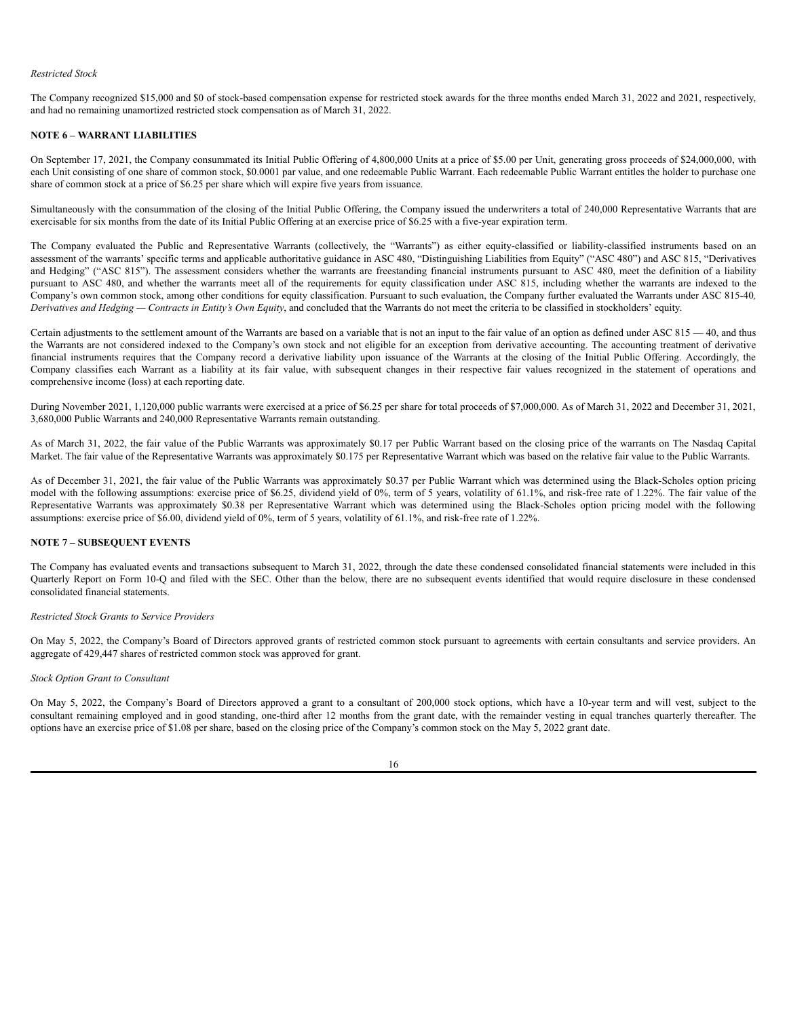#### *Restricted Stock*

The Company recognized \$15,000 and \$0 of stock-based compensation expense for restricted stock awards for the three months ended March 31, 2022 and 2021, respectively, and had no remaining unamortized restricted stock compensation as of March 31, 2022.

### **NOTE 6 – WARRANT LIABILITIES**

On September 17, 2021, the Company consummated its Initial Public Offering of 4,800,000 Units at a price of \$5.00 per Unit, generating gross proceeds of \$24,000,000, with each Unit consisting of one share of common stock, \$0.0001 par value, and one redeemable Public Warrant. Each redeemable Public Warrant entitles the holder to purchase one share of common stock at a price of \$6.25 per share which will expire five years from issuance.

Simultaneously with the consummation of the closing of the Initial Public Offering, the Company issued the underwriters a total of 240,000 Representative Warrants that are exercisable for six months from the date of its Initial Public Offering at an exercise price of \$6.25 with a five-year expiration term.

The Company evaluated the Public and Representative Warrants (collectively, the "Warrants") as either equity-classified or liability-classified instruments based on an assessment of the warrants' specific terms and applicable authoritative guidance in ASC 480, "Distinguishing Liabilities from Equity" ("ASC 480") and ASC 815, "Derivatives and Hedging" ("ASC 815"). The assessment considers whether the warrants are freestanding financial instruments pursuant to ASC 480, meet the definition of a liability pursuant to ASC 480, and whether the warrants meet all of the requirements for equity classification under ASC 815, including whether the warrants are indexed to the Company's own common stock, among other conditions for equity classification. Pursuant to such evaluation, the Company further evaluated the Warrants under ASC 815-40*, Derivatives and Hedging — Contracts in Entity's Own Equity*, and concluded that the Warrants do not meet the criteria to be classified in stockholders' equity.

Certain adjustments to the settlement amount of the Warrants are based on a variable that is not an input to the fair value of an option as defined under ASC 815 - 40, and thus the Warrants are not considered indexed to the Company's own stock and not eligible for an exception from derivative accounting. The accounting treatment of derivative financial instruments requires that the Company record a derivative liability upon issuance of the Warrants at the closing of the Initial Public Offering. Accordingly, the Company classifies each Warrant as a liability at its fair value, with subsequent changes in their respective fair values recognized in the statement of operations and comprehensive income (loss) at each reporting date.

During November 2021, 1,120,000 public warrants were exercised at a price of \$6.25 per share for total proceeds of \$7,000,000. As of March 31, 2022 and December 31, 2021, 3,680,000 Public Warrants and 240,000 Representative Warrants remain outstanding.

As of March 31, 2022, the fair value of the Public Warrants was approximately \$0.17 per Public Warrant based on the closing price of the warrants on The Nasdaq Capital Market. The fair value of the Representative Warrants was approximately \$0.175 per Representative Warrant which was based on the relative fair value to the Public Warrants.

As of December 31, 2021, the fair value of the Public Warrants was approximately \$0.37 per Public Warrant which was determined using the Black-Scholes option pricing model with the following assumptions: exercise price of \$6.25, dividend yield of 0%, term of 5 years, volatility of 61.1%, and risk-free rate of 1.22%. The fair value of the Representative Warrants was approximately \$0.38 per Representative Warrant which was determined using the Black-Scholes option pricing model with the following assumptions: exercise price of \$6.00, dividend yield of 0%, term of 5 years, volatility of 61.1%, and risk-free rate of 1.22%.

## **NOTE 7 – SUBSEQUENT EVENTS**

The Company has evaluated events and transactions subsequent to March 31, 2022, through the date these condensed consolidated financial statements were included in this Quarterly Report on Form 10-Q and filed with the SEC. Other than the below, there are no subsequent events identified that would require disclosure in these condensed consolidated financial statements.

## *Restricted Stock Grants to Service Providers*

On May 5, 2022, the Company's Board of Directors approved grants of restricted common stock pursuant to agreements with certain consultants and service providers. An aggregate of 429,447 shares of restricted common stock was approved for grant.

## *Stock Option Grant to Consultant*

On May 5, 2022, the Company's Board of Directors approved a grant to a consultant of 200,000 stock options, which have a 10-year term and will vest, subject to the consultant remaining employed and in good standing, one-third after 12 months from the grant date, with the remainder vesting in equal tranches quarterly thereafter. The options have an exercise price of \$1.08 per share, based on the closing price of the Company's common stock on the May 5, 2022 grant date.

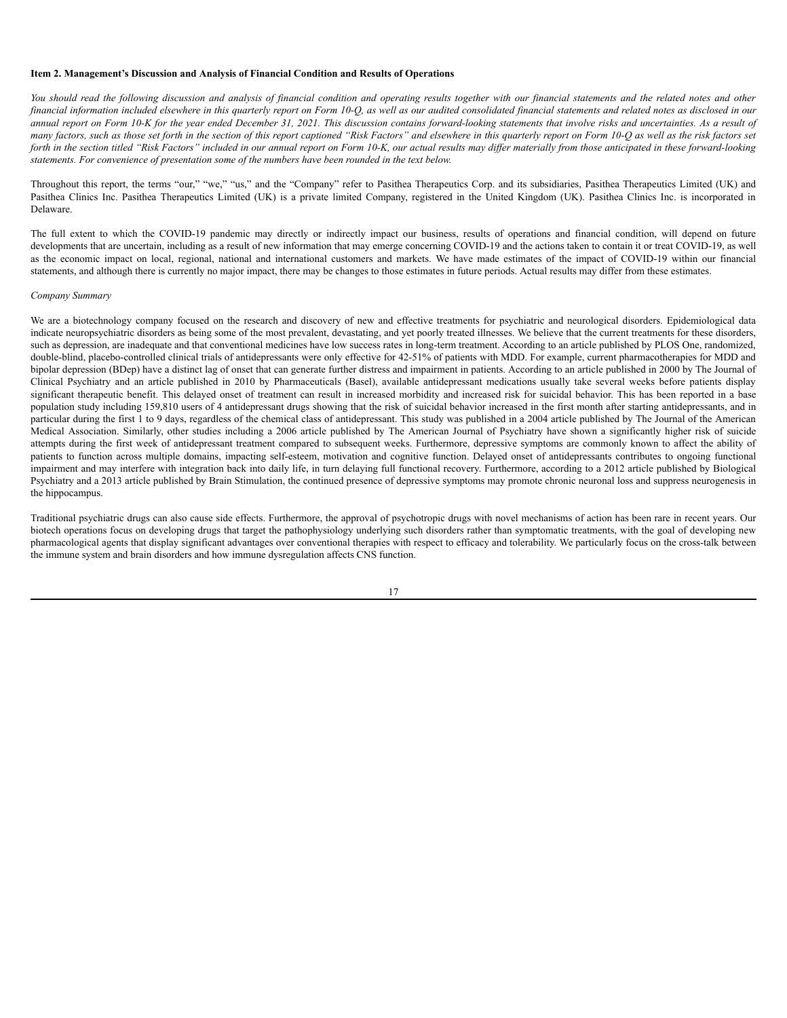#### <span id="page-18-0"></span>**Item 2. Management's Discussion and Analysis of Financial Condition and Results of Operations**

You should read the following discussion and analysis of financial condition and operating results together with our financial statements and the related notes and other financial information included elsewhere in this quarterly report on Form 10-O, as well as our audited consolidated financial statements and related notes as disclosed in our annual report on Form 10-K for the year ended December 31, 2021. This discussion contains forward-looking statements that involve risks and uncertainties. As a result of many factors, such as those set forth in the section of this report captioned "Risk Factors" and elsewhere in this quarterly report on Form 10-Q as well as the risk factors set forth in the section titled "Risk Factors" included in our annual report on Form 10-K, our actual results may differ materially from those anticipated in these forward-looking *statements. For convenience of presentation some of the numbers have been rounded in the text below.*

Throughout this report, the terms "our," "we," "us," and the "Company" refer to Pasithea Therapeutics Corp. and its subsidiaries, Pasithea Therapeutics Limited (UK) and Pasithea Clinics Inc. Pasithea Therapeutics Limited (UK) is a private limited Company, registered in the United Kingdom (UK). Pasithea Clinics Inc. is incorporated in Delaware.

The full extent to which the COVID-19 pandemic may directly or indirectly impact our business, results of operations and financial condition, will depend on future developments that are uncertain, including as a result of new information that may emerge concerning COVID-19 and the actions taken to contain it or treat COVID-19, as well as the economic impact on local, regional, national and international customers and markets. We have made estimates of the impact of COVID-19 within our financial statements, and although there is currently no major impact, there may be changes to those estimates in future periods. Actual results may differ from these estimates.

## *Company Summary*

We are a biotechnology company focused on the research and discovery of new and effective treatments for psychiatric and neurological disorders. Epidemiological data indicate neuropsychiatric disorders as being some of the most prevalent, devastating, and yet poorly treated illnesses. We believe that the current treatments for these disorders, such as depression, are inadequate and that conventional medicines have low success rates in long-term treatment. According to an article published by PLOS One, randomized, double-blind, placebo-controlled clinical trials of antidepressants were only effective for 42-51% of patients with MDD. For example, current pharmacotherapies for MDD and bipolar depression (BDep) have a distinct lag of onset that can generate further distress and impairment in patients. According to an article published in 2000 by The Journal of Clinical Psychiatry and an article published in 2010 by Pharmaceuticals (Basel), available antidepressant medications usually take several weeks before patients display significant therapeutic benefit. This delayed onset of treatment can result in increased morbidity and increased risk for suicidal behavior. This has been reported in a base population study including 159,810 users of 4 antidepressant drugs showing that the risk of suicidal behavior increased in the first month after starting antidepressants, and in particular during the first 1 to 9 days, regardless of the chemical class of antidepressant. This study was published in a 2004 article published by The Journal of the American Medical Association. Similarly, other studies including a 2006 article published by The American Journal of Psychiatry have shown a significantly higher risk of suicide attempts during the first week of antidepressant treatment compared to subsequent weeks. Furthermore, depressive symptoms are commonly known to affect the ability of patients to function across multiple domains, impacting self-esteem, motivation and cognitive function. Delayed onset of antidepressants contributes to ongoing functional impairment and may interfere with integration back into daily life, in turn delaying full functional recovery. Furthermore, according to a 2012 article published by Biological Psychiatry and a 2013 article published by Brain Stimulation, the continued presence of depressive symptoms may promote chronic neuronal loss and suppress neurogenesis in the hippocampus.

Traditional psychiatric drugs can also cause side effects. Furthermore, the approval of psychotropic drugs with novel mechanisms of action has been rare in recent years. Our biotech operations focus on developing drugs that target the pathophysiology underlying such disorders rather than symptomatic treatments, with the goal of developing new pharmacological agents that display significant advantages over conventional therapies with respect to efficacy and tolerability. We particularly focus on the cross-talk between the immune system and brain disorders and how immune dysregulation affects CNS function.

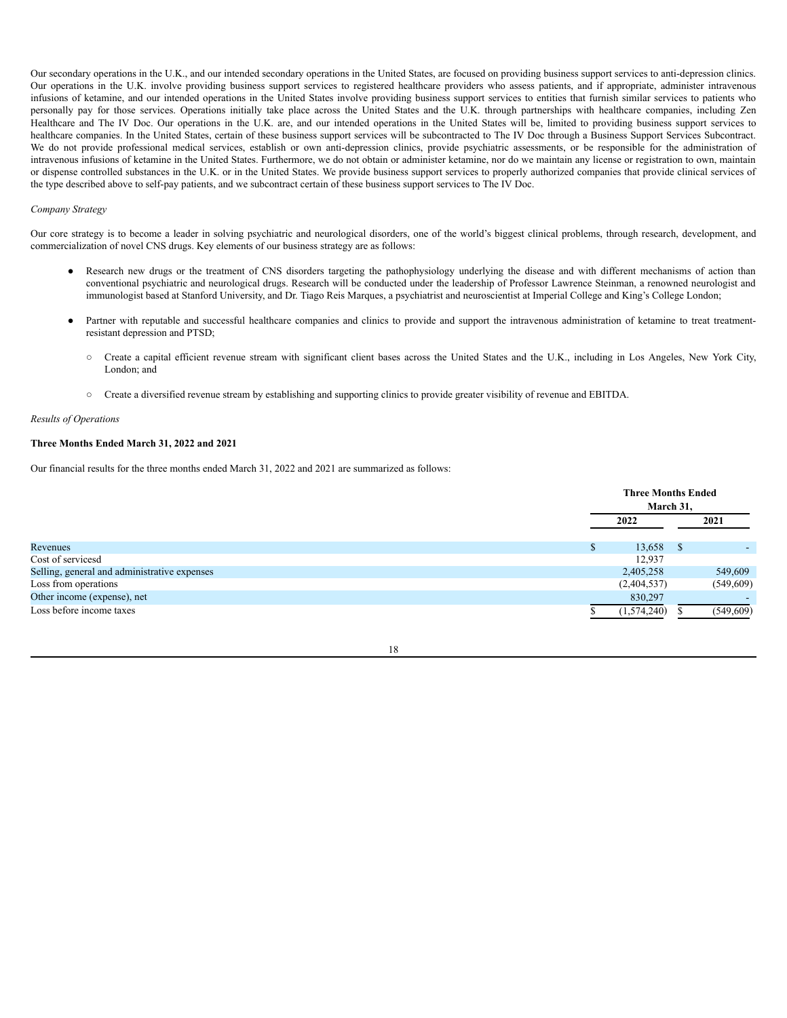Our secondary operations in the U.K., and our intended secondary operations in the United States, are focused on providing business support services to anti-depression clinics. Our operations in the U.K. involve providing business support services to registered healthcare providers who assess patients, and if appropriate, administer intravenous infusions of ketamine, and our intended operations in the United States involve providing business support services to entities that furnish similar services to patients who personally pay for those services. Operations initially take place across the United States and the U.K. through partnerships with healthcare companies, including Zen Healthcare and The IV Doc. Our operations in the U.K. are, and our intended operations in the United States will be, limited to providing business support services to healthcare companies. In the United States, certain of these business support services will be subcontracted to The IV Doc through a Business Support Services Subcontract. We do not provide professional medical services, establish or own anti-depression clinics, provide psychiatric assessments, or be responsible for the administration of intravenous infusions of ketamine in the United States. Furthermore, we do not obtain or administer ketamine, nor do we maintain any license or registration to own, maintain or dispense controlled substances in the U.K. or in the United States. We provide business support services to properly authorized companies that provide clinical services of the type described above to self-pay patients, and we subcontract certain of these business support services to The IV Doc.

## *Company Strategy*

Our core strategy is to become a leader in solving psychiatric and neurological disorders, one of the world's biggest clinical problems, through research, development, and commercialization of novel CNS drugs. Key elements of our business strategy are as follows:

- Research new drugs or the treatment of CNS disorders targeting the pathophysiology underlying the disease and with different mechanisms of action than conventional psychiatric and neurological drugs. Research will be conducted under the leadership of Professor Lawrence Steinman, a renowned neurologist and immunologist based at Stanford University, and Dr. Tiago Reis Marques, a psychiatrist and neuroscientist at Imperial College and King's College London;
- Partner with reputable and successful healthcare companies and clinics to provide and support the intravenous administration of ketamine to treat treatmentresistant depression and PTSD;
	- Create a capital efficient revenue stream with significant client bases across the United States and the U.K., including in Los Angeles, New York City, London; and
	- Create a diversified revenue stream by establishing and supporting clinics to provide greater visibility of revenue and EBITDA.

#### *Results of Operations*

## **Three Months Ended March 31, 2022 and 2021**

Our financial results for the three months ended March 31, 2022 and 2021 are summarized as follows:

|                                              |   | <b>Three Months Ended</b><br>March 31, |   |           |
|----------------------------------------------|---|----------------------------------------|---|-----------|
|                                              |   | 2022                                   |   | 2021      |
| Revenues                                     | D | 13,658                                 | S |           |
| Cost of servicesd                            |   | 12.937                                 |   |           |
| Selling, general and administrative expenses |   | 2,405,258                              |   | 549,609   |
| Loss from operations                         |   | (2,404,537)                            |   | (549,609) |
| Other income (expense), net                  |   | 830,297                                |   |           |
| Loss before income taxes                     |   | (1,574,240)                            |   | (549,609) |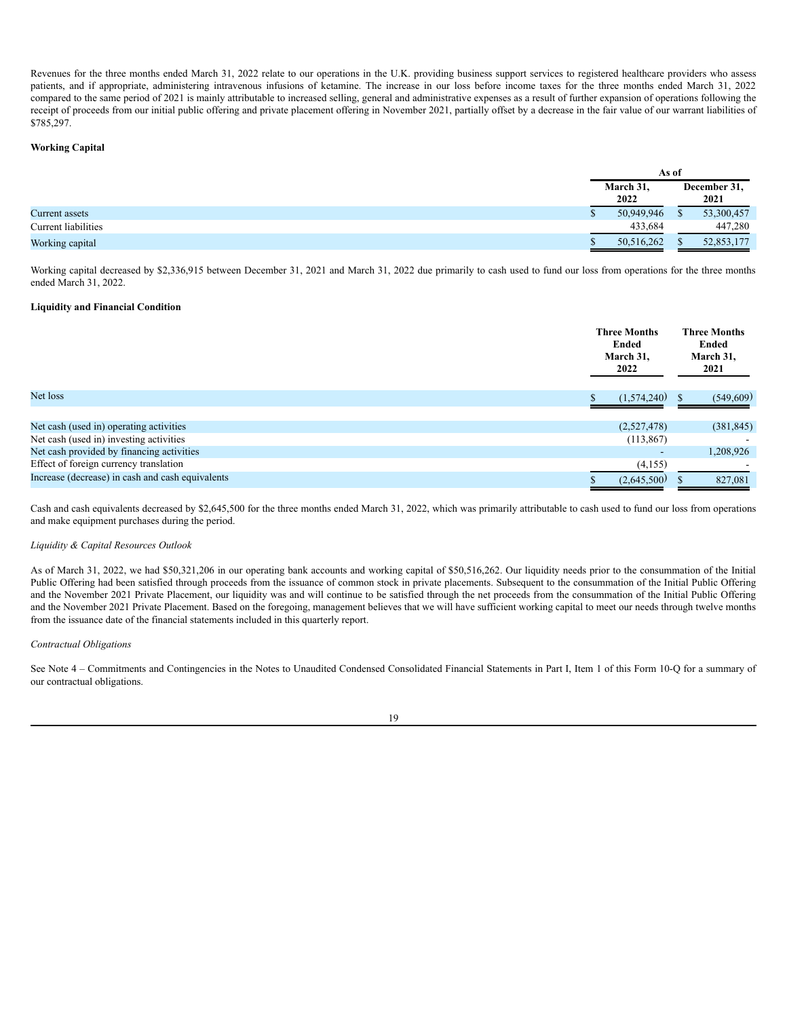Revenues for the three months ended March 31, 2022 relate to our operations in the U.K. providing business support services to registered healthcare providers who assess patients, and if appropriate, administering intravenous infusions of ketamine. The increase in our loss before income taxes for the three months ended March 31, 2022 compared to the same period of 2021 is mainly attributable to increased selling, general and administrative expenses as a result of further expansion of operations following the receipt of proceeds from our initial public offering and private placement offering in November 2021, partially offset by a decrease in the fair value of our warrant liabilities of \$785,297.

## **Working Capital**

|                     |                   | As of      |  |                      |
|---------------------|-------------------|------------|--|----------------------|
|                     | March 31,<br>2022 |            |  | December 31,<br>2021 |
| Current assets      |                   | 50,949,946 |  | 53,300,457           |
| Current liabilities |                   | 433,684    |  | 447,280              |
| Working capital     |                   | 50,516,262 |  | 52,853,177           |

Working capital decreased by \$2,336,915 between December 31, 2021 and March 31, 2022 due primarily to cash used to fund our loss from operations for the three months ended March 31, 2022.

## **Liquidity and Financial Condition**

|                                                  | <b>Three Months</b><br>Ended<br>March 31,<br>2022 |                          | <b>Three Months</b><br>Ended<br>March 31,<br>2021 |            |
|--------------------------------------------------|---------------------------------------------------|--------------------------|---------------------------------------------------|------------|
| Net loss                                         |                                                   | (1,574,240)              |                                                   | (549,609)  |
|                                                  |                                                   |                          |                                                   |            |
| Net cash (used in) operating activities          |                                                   | (2,527,478)              |                                                   | (381, 845) |
| Net cash (used in) investing activities          |                                                   | (113, 867)               |                                                   |            |
| Net cash provided by financing activities        |                                                   | $\overline{\phantom{a}}$ |                                                   | 1,208,926  |
| Effect of foreign currency translation           |                                                   | (4,155)                  |                                                   |            |
| Increase (decrease) in cash and cash equivalents |                                                   | (2,645,500)              |                                                   | 827,081    |

Cash and cash equivalents decreased by \$2,645,500 for the three months ended March 31, 2022, which was primarily attributable to cash used to fund our loss from operations and make equipment purchases during the period.

### *Liquidity & Capital Resources Outlook*

As of March 31, 2022, we had \$50,321,206 in our operating bank accounts and working capital of \$50,516,262. Our liquidity needs prior to the consummation of the Initial Public Offering had been satisfied through proceeds from the issuance of common stock in private placements. Subsequent to the consummation of the Initial Public Offering and the November 2021 Private Placement, our liquidity was and will continue to be satisfied through the net proceeds from the consummation of the Initial Public Offering and the November 2021 Private Placement. Based on the foregoing, management believes that we will have sufficient working capital to meet our needs through twelve months from the issuance date of the financial statements included in this quarterly report.

## *Contractual Obligations*

See Note 4 – Commitments and Contingencies in the Notes to Unaudited Condensed Consolidated Financial Statements in Part I, Item 1 of this Form 10-Q for a summary of our contractual obligations.

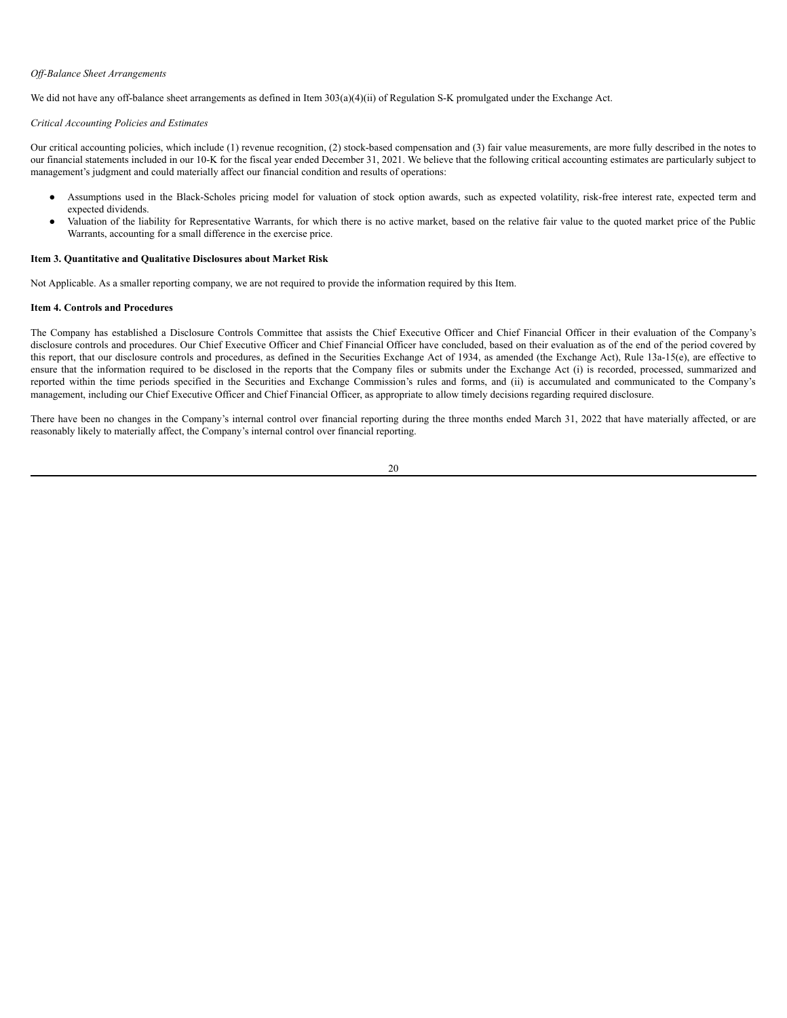#### *Of -Balance Sheet Arrangements*

We did not have any off-balance sheet arrangements as defined in Item 303(a)(4)(ii) of Regulation S-K promulgated under the Exchange Act.

#### *Critical Accounting Policies and Estimates*

Our critical accounting policies, which include (1) revenue recognition, (2) stock-based compensation and (3) fair value measurements, are more fully described in the notes to our financial statements included in our 10-K for the fiscal year ended December 31, 2021. We believe that the following critical accounting estimates are particularly subject to management's judgment and could materially affect our financial condition and results of operations:

- Assumptions used in the Black-Scholes pricing model for valuation of stock option awards, such as expected volatility, risk-free interest rate, expected term and expected dividends.
- Valuation of the liability for Representative Warrants, for which there is no active market, based on the relative fair value to the quoted market price of the Public Warrants, accounting for a small difference in the exercise price.

#### <span id="page-21-0"></span>**Item 3. Quantitative and Qualitative Disclosures about Market Risk**

Not Applicable. As a smaller reporting company, we are not required to provide the information required by this Item.

#### <span id="page-21-1"></span>**Item 4. Controls and Procedures**

The Company has established a Disclosure Controls Committee that assists the Chief Executive Officer and Chief Financial Officer in their evaluation of the Company's disclosure controls and procedures. Our Chief Executive Officer and Chief Financial Officer have concluded, based on their evaluation as of the end of the period covered by this report, that our disclosure controls and procedures, as defined in the Securities Exchange Act of 1934, as amended (the Exchange Act), Rule 13a-15(e), are effective to ensure that the information required to be disclosed in the reports that the Company files or submits under the Exchange Act (i) is recorded, processed, summarized and reported within the time periods specified in the Securities and Exchange Commission's rules and forms, and (ii) is accumulated and communicated to the Company's management, including our Chief Executive Officer and Chief Financial Officer, as appropriate to allow timely decisions regarding required disclosure.

There have been no changes in the Company's internal control over financial reporting during the three months ended March 31, 2022 that have materially affected, or are reasonably likely to materially affect, the Company's internal control over financial reporting.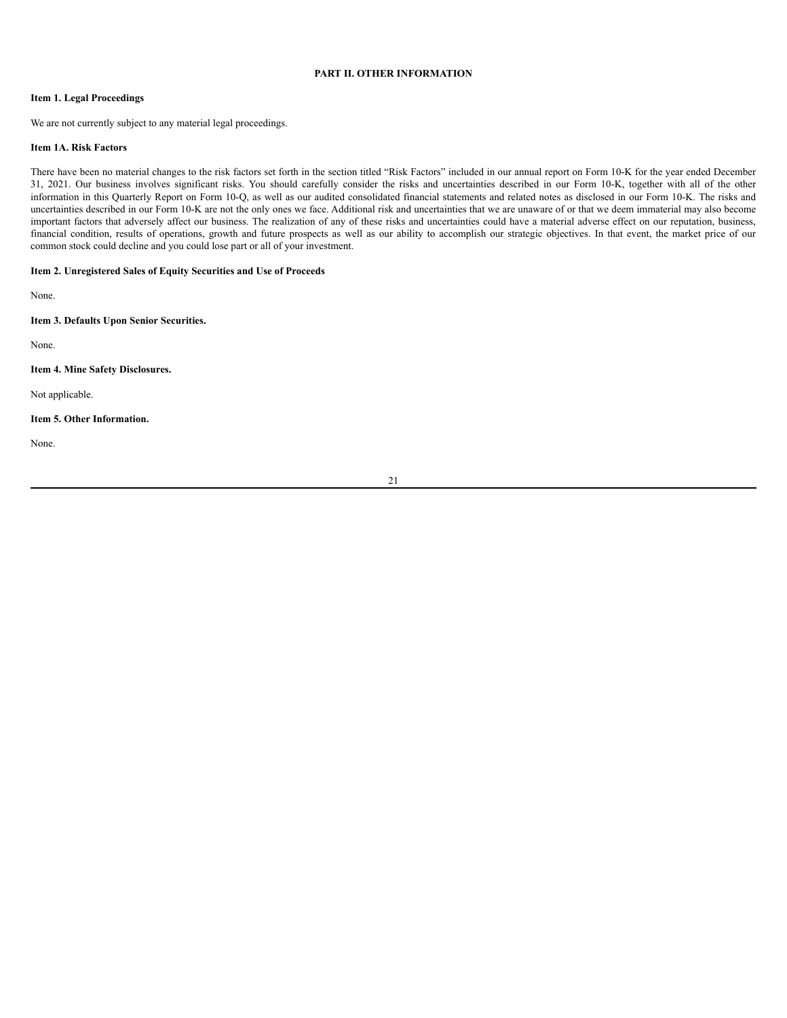## **PART II. OTHER INFORMATION**

## <span id="page-22-1"></span><span id="page-22-0"></span>**Item 1. Legal Proceedings**

We are not currently subject to any material legal proceedings.

## <span id="page-22-2"></span>**Item 1A. Risk Factors**

There have been no material changes to the risk factors set forth in the section titled "Risk Factors" included in our annual report on Form 10-K for the year ended December 31, 2021. Our business involves significant risks. You should carefully consider the risks and uncertainties described in our Form 10-K, together with all of the other information in this Quarterly Report on Form 10-Q, as well as our audited consolidated financial statements and related notes as disclosed in our Form 10-K. The risks and uncertainties described in our Form 10-K are not the only ones we face. Additional risk and uncertainties that we are unaware of or that we deem immaterial may also become important factors that adversely affect our business. The realization of any of these risks and uncertainties could have a material adverse effect on our reputation, business, financial condition, results of operations, growth and future prospects as well as our ability to accomplish our strategic objectives. In that event, the market price of our common stock could decline and you could lose part or all of your investment.

### <span id="page-22-3"></span>**Item 2. Unregistered Sales of Equity Securities and Use of Proceeds**

None.

## <span id="page-22-4"></span>**Item 3. Defaults Upon Senior Securities.**

None.

## <span id="page-22-5"></span>**Item 4. Mine Safety Disclosures.**

Not applicable.

## <span id="page-22-6"></span>**Item 5. Other Information.**

None.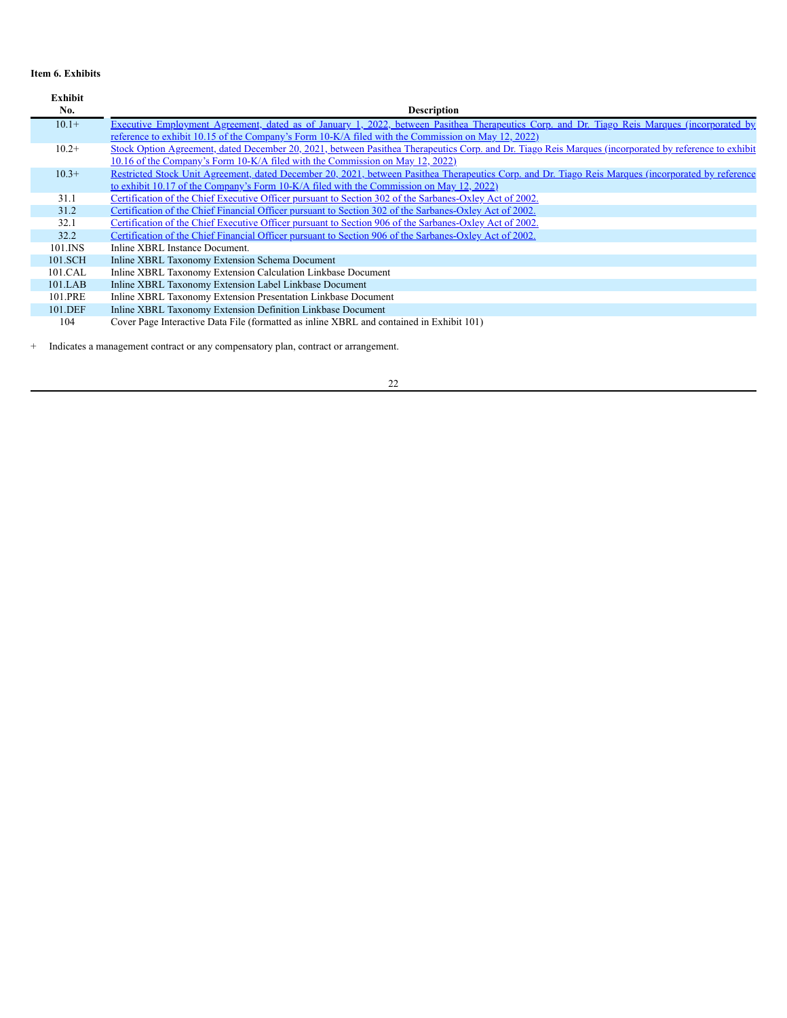# <span id="page-23-0"></span>**Item 6. Exhibits**

| Exhibit    |                                                                                                                                                       |
|------------|-------------------------------------------------------------------------------------------------------------------------------------------------------|
| No.        | <b>Description</b>                                                                                                                                    |
| $10.1+$    | Executive Employment Agreement, dated as of January 1, 2022, between Pasithea Therapeutics Corp. and Dr. Tiago Reis Marques (incorporated by          |
|            | reference to exhibit 10.15 of the Company's Form 10-K/A filed with the Commission on May 12, 2022)                                                    |
| $10.2+$    | Stock Option Agreement, dated December 20, 2021, between Pasithea Therapeutics Corp. and Dr. Tiago Reis Marques (incorporated by reference to exhibit |
|            | 10.16 of the Company's Form 10-K/A filed with the Commission on May 12, 2022)                                                                         |
| $10.3+$    | Restricted Stock Unit Agreement, dated December 20, 2021, between Pasithea Therapeutics Corp. and Dr. Tiago Reis Marques (incorporated by reference   |
|            | to exhibit 10.17 of the Company's Form 10-K/A filed with the Commission on May 12, 2022)                                                              |
| 31.1       | Certification of the Chief Executive Officer pursuant to Section 302 of the Sarbanes-Oxley Act of 2002.                                               |
| 31.2       | Certification of the Chief Financial Officer pursuant to Section 302 of the Sarbanes-Oxley Act of 2002.                                               |
| 32.1       | Certification of the Chief Executive Officer pursuant to Section 906 of the Sarbanes-Oxley Act of 2002.                                               |
| 32.2       | Certification of the Chief Financial Officer pursuant to Section 906 of the Sarbanes-Oxley Act of 2002.                                               |
| 101.INS    | Inline XBRL Instance Document.                                                                                                                        |
| 101.SCH    | Inline XBRL Taxonomy Extension Schema Document                                                                                                        |
| 101.CAL    | Inline XBRL Taxonomy Extension Calculation Linkbase Document                                                                                          |
| $101$ .LAB | Inline XBRL Taxonomy Extension Label Linkbase Document                                                                                                |
| 101.PRE    | Inline XBRL Taxonomy Extension Presentation Linkbase Document                                                                                         |
| 101.DEF    | Inline XBRL Taxonomy Extension Definition Linkbase Document                                                                                           |
| 104        | Cover Page Interactive Data File (formatted as inline XBRL and contained in Exhibit 101)                                                              |

+ Indicates a management contract or any compensatory plan, contract or arrangement.

22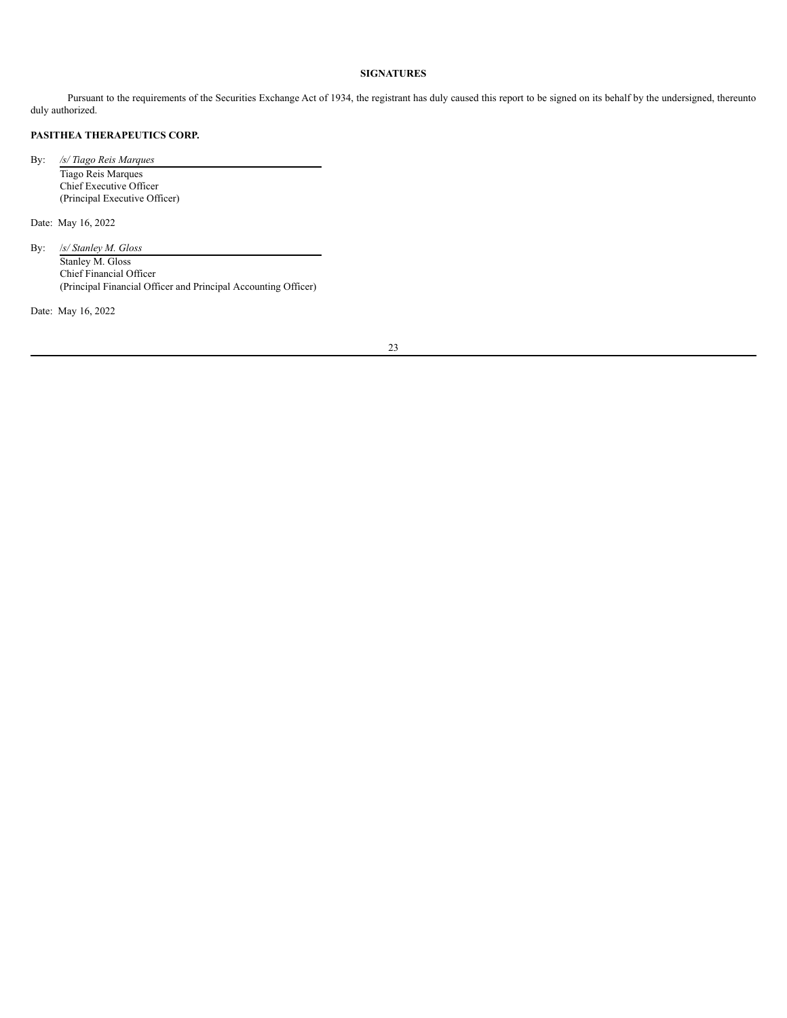# **SIGNATURES**

<span id="page-24-0"></span>Pursuant to the requirements of the Securities Exchange Act of 1934, the registrant has duly caused this report to be signed on its behalf by the undersigned, thereunto duly authorized.

# **PASITHEA THERAPEUTICS CORP.**

By: */s/ Tiago Reis Marques*

Tiago Reis Marques Chief Executive Officer (Principal Executive Officer)

Date: May 16, 2022

By: /*s/ Stanley M. Gloss* Stanley M. Gloss Chief Financial Officer (Principal Financial Officer and Principal Accounting Officer)

Date: May 16, 2022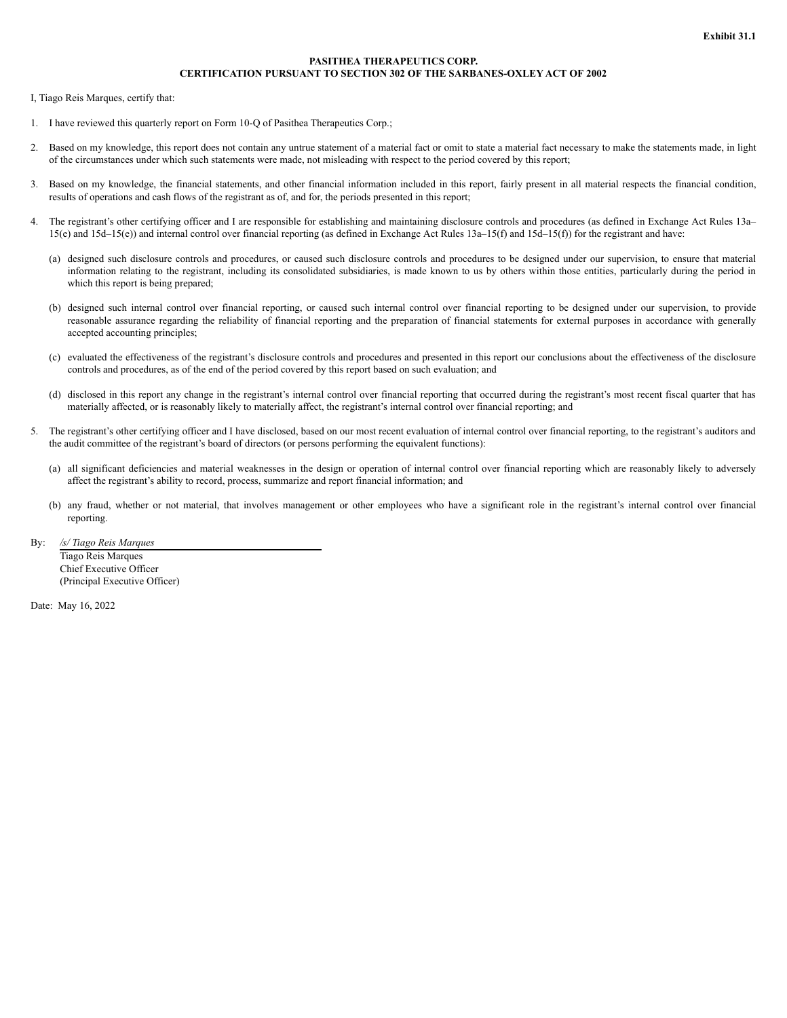## **PASITHEA THERAPEUTICS CORP. CERTIFICATION PURSUANT TO SECTION 302 OF THE SARBANES-OXLEY ACT OF 2002**

I, Tiago Reis Marques, certify that:

- 1. I have reviewed this quarterly report on Form 10-Q of Pasithea Therapeutics Corp.;
- 2. Based on my knowledge, this report does not contain any untrue statement of a material fact or omit to state a material fact necessary to make the statements made, in light of the circumstances under which such statements were made, not misleading with respect to the period covered by this report;
- 3. Based on my knowledge, the financial statements, and other financial information included in this report, fairly present in all material respects the financial condition, results of operations and cash flows of the registrant as of, and for, the periods presented in this report;
- 4. The registrant's other certifying officer and I are responsible for establishing and maintaining disclosure controls and procedures (as defined in Exchange Act Rules 13a– 15(e) and 15d–15(e)) and internal control over financial reporting (as defined in Exchange Act Rules 13a–15(f) and 15d–15(f)) for the registrant and have:
	- (a) designed such disclosure controls and procedures, or caused such disclosure controls and procedures to be designed under our supervision, to ensure that material information relating to the registrant, including its consolidated subsidiaries, is made known to us by others within those entities, particularly during the period in which this report is being prepared;
	- (b) designed such internal control over financial reporting, or caused such internal control over financial reporting to be designed under our supervision, to provide reasonable assurance regarding the reliability of financial reporting and the preparation of financial statements for external purposes in accordance with generally accepted accounting principles;
	- (c) evaluated the effectiveness of the registrant's disclosure controls and procedures and presented in this report our conclusions about the effectiveness of the disclosure controls and procedures, as of the end of the period covered by this report based on such evaluation; and
	- (d) disclosed in this report any change in the registrant's internal control over financial reporting that occurred during the registrant's most recent fiscal quarter that has materially affected, or is reasonably likely to materially affect, the registrant's internal control over financial reporting; and
- 5. The registrant's other certifying officer and I have disclosed, based on our most recent evaluation of internal control over financial reporting, to the registrant's auditors and the audit committee of the registrant's board of directors (or persons performing the equivalent functions):
	- (a) all significant deficiencies and material weaknesses in the design or operation of internal control over financial reporting which are reasonably likely to adversely affect the registrant's ability to record, process, summarize and report financial information; and
	- (b) any fraud, whether or not material, that involves management or other employees who have a significant role in the registrant's internal control over financial reporting.
- By: */s/ Tiago Reis Marques*

Tiago Reis Marques Chief Executive Officer (Principal Executive Officer)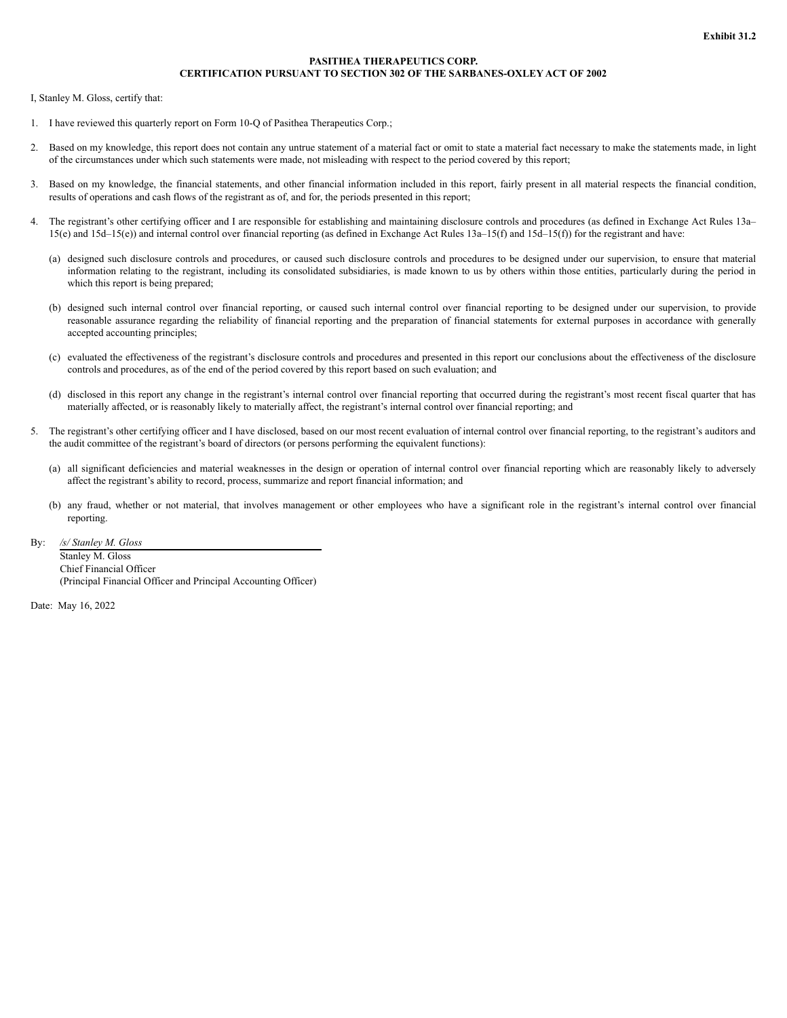## **PASITHEA THERAPEUTICS CORP. CERTIFICATION PURSUANT TO SECTION 302 OF THE SARBANES-OXLEY ACT OF 2002**

I, Stanley M. Gloss, certify that:

- 1. I have reviewed this quarterly report on Form 10-Q of Pasithea Therapeutics Corp.;
- 2. Based on my knowledge, this report does not contain any untrue statement of a material fact or omit to state a material fact necessary to make the statements made, in light of the circumstances under which such statements were made, not misleading with respect to the period covered by this report;
- 3. Based on my knowledge, the financial statements, and other financial information included in this report, fairly present in all material respects the financial condition, results of operations and cash flows of the registrant as of, and for, the periods presented in this report;
- 4. The registrant's other certifying officer and I are responsible for establishing and maintaining disclosure controls and procedures (as defined in Exchange Act Rules 13a– 15(e) and 15d–15(e)) and internal control over financial reporting (as defined in Exchange Act Rules 13a–15(f) and 15d–15(f)) for the registrant and have:
	- (a) designed such disclosure controls and procedures, or caused such disclosure controls and procedures to be designed under our supervision, to ensure that material information relating to the registrant, including its consolidated subsidiaries, is made known to us by others within those entities, particularly during the period in which this report is being prepared;
	- (b) designed such internal control over financial reporting, or caused such internal control over financial reporting to be designed under our supervision, to provide reasonable assurance regarding the reliability of financial reporting and the preparation of financial statements for external purposes in accordance with generally accepted accounting principles;
	- (c) evaluated the effectiveness of the registrant's disclosure controls and procedures and presented in this report our conclusions about the effectiveness of the disclosure controls and procedures, as of the end of the period covered by this report based on such evaluation; and
	- (d) disclosed in this report any change in the registrant's internal control over financial reporting that occurred during the registrant's most recent fiscal quarter that has materially affected, or is reasonably likely to materially affect, the registrant's internal control over financial reporting; and
- 5. The registrant's other certifying officer and I have disclosed, based on our most recent evaluation of internal control over financial reporting, to the registrant's auditors and the audit committee of the registrant's board of directors (or persons performing the equivalent functions):
	- (a) all significant deficiencies and material weaknesses in the design or operation of internal control over financial reporting which are reasonably likely to adversely affect the registrant's ability to record, process, summarize and report financial information; and
	- (b) any fraud, whether or not material, that involves management or other employees who have a significant role in the registrant's internal control over financial reporting.
- By: */s/ Stanley M. Gloss*

Stanley M. Gloss Chief Financial Officer (Principal Financial Officer and Principal Accounting Officer)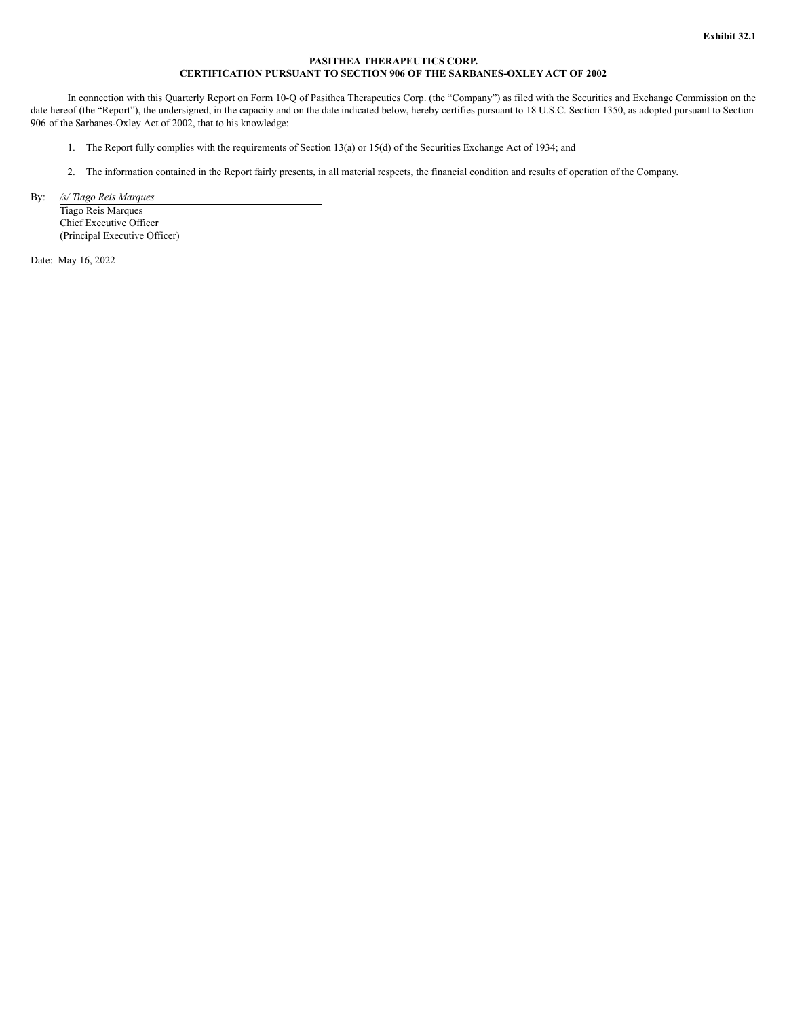## **PASITHEA THERAPEUTICS CORP. CERTIFICATION PURSUANT TO SECTION 906 OF THE SARBANES-OXLEY ACT OF 2002**

In connection with this Quarterly Report on Form 10-Q of Pasithea Therapeutics Corp. (the "Company") as filed with the Securities and Exchange Commission on the date hereof (the "Report"), the undersigned, in the capacity and on the date indicated below, hereby certifies pursuant to 18 U.S.C. Section 1350, as adopted pursuant to Section 906 of the Sarbanes-Oxley Act of 2002, that to his knowledge:

- 1. The Report fully complies with the requirements of Section 13(a) or 15(d) of the Securities Exchange Act of 1934; and
- 2. The information contained in the Report fairly presents, in all material respects, the financial condition and results of operation of the Company.

By: */s/ Tiago Reis Marques*

Tiago Reis Marques Chief Executive Officer (Principal Executive Officer)